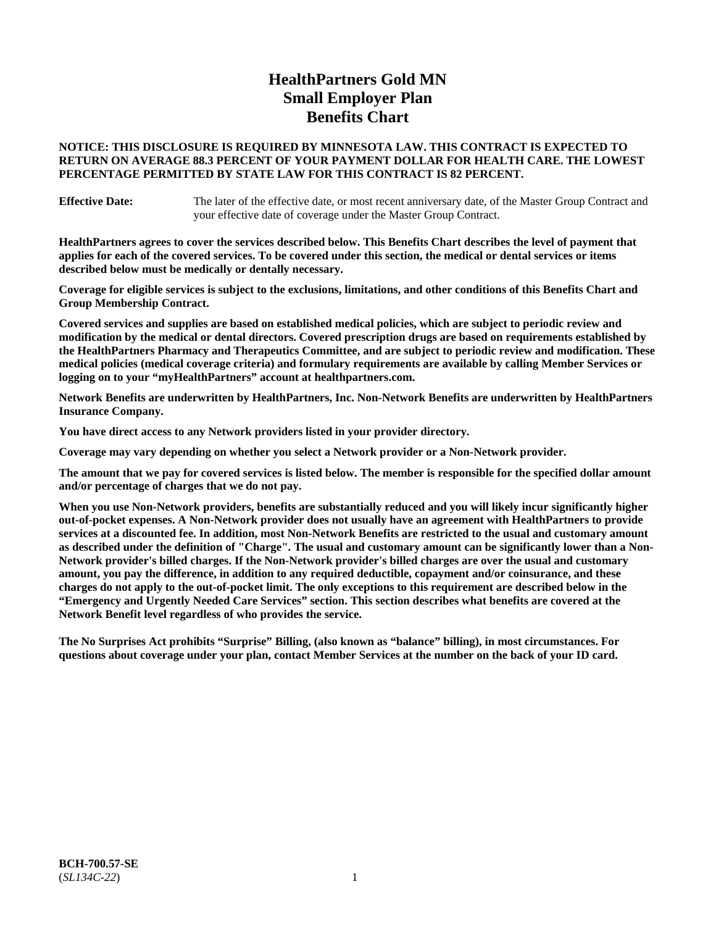# **HealthPartners Gold MN Small Employer Plan Benefits Chart**

### **NOTICE: THIS DISCLOSURE IS REQUIRED BY MINNESOTA LAW. THIS CONTRACT IS EXPECTED TO RETURN ON AVERAGE 88.3 PERCENT OF YOUR PAYMENT DOLLAR FOR HEALTH CARE. THE LOWEST PERCENTAGE PERMITTED BY STATE LAW FOR THIS CONTRACT IS 82 PERCENT.**

**Effective Date:** The later of the effective date, or most recent anniversary date, of the Master Group Contract and your effective date of coverage under the Master Group Contract.

**HealthPartners agrees to cover the services described below. This Benefits Chart describes the level of payment that applies for each of the covered services. To be covered under this section, the medical or dental services or items described below must be medically or dentally necessary.**

**Coverage for eligible services is subject to the exclusions, limitations, and other conditions of this Benefits Chart and Group Membership Contract.**

**Covered services and supplies are based on established medical policies, which are subject to periodic review and modification by the medical or dental directors. Covered prescription drugs are based on requirements established by the HealthPartners Pharmacy and Therapeutics Committee, and are subject to periodic review and modification. These medical policies (medical coverage criteria) and formulary requirements are available by calling Member Services or logging on to your "myHealthPartners" account at [healthpartners.com.](https://www.healthpartners.com/hp/index.html)**

**Network Benefits are underwritten by HealthPartners, Inc. Non-Network Benefits are underwritten by HealthPartners Insurance Company.** 

**You have direct access to any Network providers listed in your provider directory.**

**Coverage may vary depending on whether you select a Network provider or a Non-Network provider.**

**The amount that we pay for covered services is listed below. The member is responsible for the specified dollar amount and/or percentage of charges that we do not pay.**

**When you use Non-Network providers, benefits are substantially reduced and you will likely incur significantly higher out-of-pocket expenses. A Non-Network provider does not usually have an agreement with HealthPartners to provide services at a discounted fee. In addition, most Non-Network Benefits are restricted to the usual and customary amount as described under the definition of "Charge". The usual and customary amount can be significantly lower than a Non-Network provider's billed charges. If the Non-Network provider's billed charges are over the usual and customary amount, you pay the difference, in addition to any required deductible, copayment and/or coinsurance, and these charges do not apply to the out-of-pocket limit. The only exceptions to this requirement are described below in the "Emergency and Urgently Needed Care Services" section. This section describes what benefits are covered at the Network Benefit level regardless of who provides the service.**

**The No Surprises Act prohibits "Surprise" Billing, (also known as "balance" billing), in most circumstances. For questions about coverage under your plan, contact Member Services at the number on the back of your ID card.**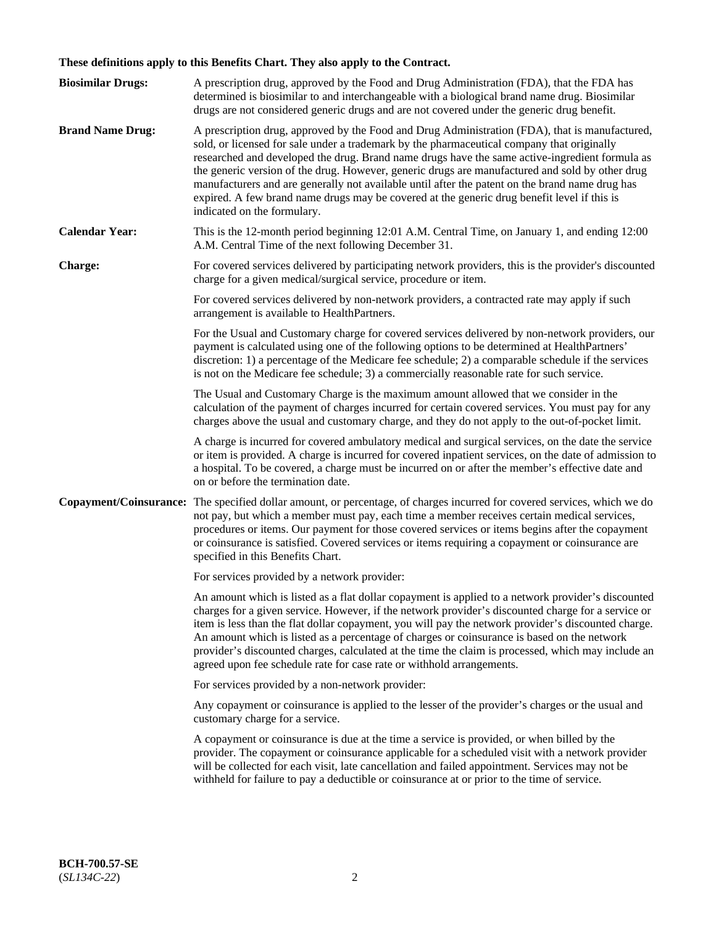# **These definitions apply to this Benefits Chart. They also apply to the Contract.**

| <b>Biosimilar Drugs:</b> | A prescription drug, approved by the Food and Drug Administration (FDA), that the FDA has<br>determined is biosimilar to and interchangeable with a biological brand name drug. Biosimilar<br>drugs are not considered generic drugs and are not covered under the generic drug benefit.                                                                                                                                                                                                                                                                                                                                           |
|--------------------------|------------------------------------------------------------------------------------------------------------------------------------------------------------------------------------------------------------------------------------------------------------------------------------------------------------------------------------------------------------------------------------------------------------------------------------------------------------------------------------------------------------------------------------------------------------------------------------------------------------------------------------|
| <b>Brand Name Drug:</b>  | A prescription drug, approved by the Food and Drug Administration (FDA), that is manufactured,<br>sold, or licensed for sale under a trademark by the pharmaceutical company that originally<br>researched and developed the drug. Brand name drugs have the same active-ingredient formula as<br>the generic version of the drug. However, generic drugs are manufactured and sold by other drug<br>manufacturers and are generally not available until after the patent on the brand name drug has<br>expired. A few brand name drugs may be covered at the generic drug benefit level if this is<br>indicated on the formulary. |
| <b>Calendar Year:</b>    | This is the 12-month period beginning 12:01 A.M. Central Time, on January 1, and ending 12:00<br>A.M. Central Time of the next following December 31.                                                                                                                                                                                                                                                                                                                                                                                                                                                                              |
| <b>Charge:</b>           | For covered services delivered by participating network providers, this is the provider's discounted<br>charge for a given medical/surgical service, procedure or item.                                                                                                                                                                                                                                                                                                                                                                                                                                                            |
|                          | For covered services delivered by non-network providers, a contracted rate may apply if such<br>arrangement is available to HealthPartners.                                                                                                                                                                                                                                                                                                                                                                                                                                                                                        |
|                          | For the Usual and Customary charge for covered services delivered by non-network providers, our<br>payment is calculated using one of the following options to be determined at HealthPartners'<br>discretion: 1) a percentage of the Medicare fee schedule; 2) a comparable schedule if the services<br>is not on the Medicare fee schedule; 3) a commercially reasonable rate for such service.                                                                                                                                                                                                                                  |
|                          | The Usual and Customary Charge is the maximum amount allowed that we consider in the<br>calculation of the payment of charges incurred for certain covered services. You must pay for any<br>charges above the usual and customary charge, and they do not apply to the out-of-pocket limit.                                                                                                                                                                                                                                                                                                                                       |
|                          | A charge is incurred for covered ambulatory medical and surgical services, on the date the service<br>or item is provided. A charge is incurred for covered inpatient services, on the date of admission to<br>a hospital. To be covered, a charge must be incurred on or after the member's effective date and<br>on or before the termination date.                                                                                                                                                                                                                                                                              |
| Copayment/Coinsurance:   | The specified dollar amount, or percentage, of charges incurred for covered services, which we do<br>not pay, but which a member must pay, each time a member receives certain medical services,<br>procedures or items. Our payment for those covered services or items begins after the copayment<br>or coinsurance is satisfied. Covered services or items requiring a copayment or coinsurance are<br>specified in this Benefits Chart.                                                                                                                                                                                        |
|                          | For services provided by a network provider:                                                                                                                                                                                                                                                                                                                                                                                                                                                                                                                                                                                       |
|                          | An amount which is listed as a flat dollar copayment is applied to a network provider's discounted<br>charges for a given service. However, if the network provider's discounted charge for a service or<br>item is less than the flat dollar copayment, you will pay the network provider's discounted charge.<br>An amount which is listed as a percentage of charges or coinsurance is based on the network<br>provider's discounted charges, calculated at the time the claim is processed, which may include an<br>agreed upon fee schedule rate for case rate or withhold arrangements.                                      |
|                          | For services provided by a non-network provider:                                                                                                                                                                                                                                                                                                                                                                                                                                                                                                                                                                                   |
|                          | Any copayment or coinsurance is applied to the lesser of the provider's charges or the usual and<br>customary charge for a service.                                                                                                                                                                                                                                                                                                                                                                                                                                                                                                |
|                          | A copayment or coinsurance is due at the time a service is provided, or when billed by the<br>provider. The copayment or coinsurance applicable for a scheduled visit with a network provider<br>will be collected for each visit, late cancellation and failed appointment. Services may not be<br>withheld for failure to pay a deductible or coinsurance at or prior to the time of service.                                                                                                                                                                                                                                    |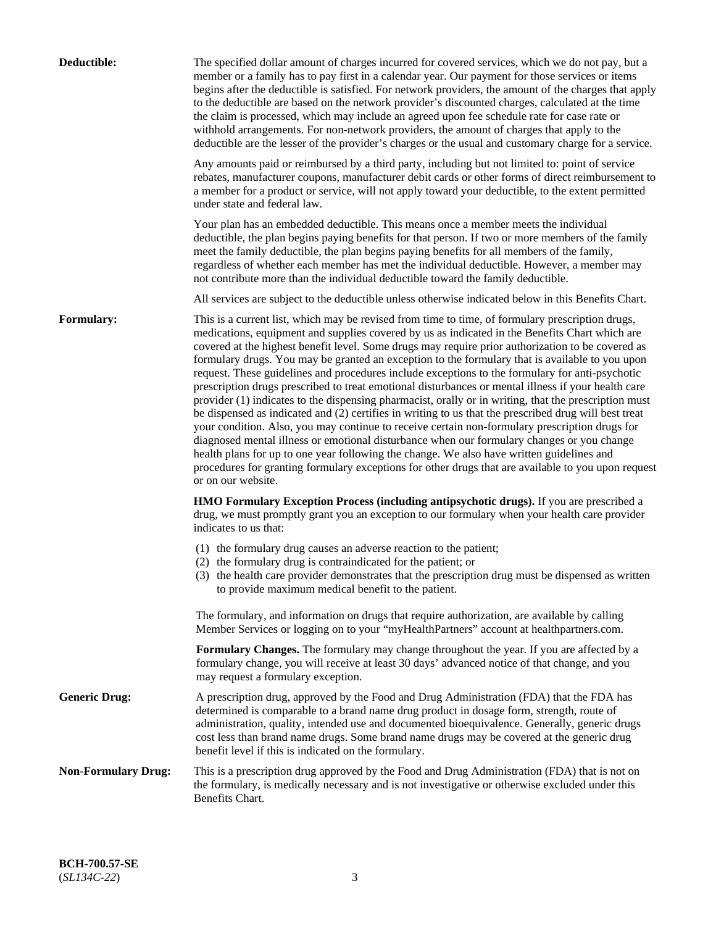| Deductible:                | The specified dollar amount of charges incurred for covered services, which we do not pay, but a<br>member or a family has to pay first in a calendar year. Our payment for those services or items<br>begins after the deductible is satisfied. For network providers, the amount of the charges that apply<br>to the deductible are based on the network provider's discounted charges, calculated at the time<br>the claim is processed, which may include an agreed upon fee schedule rate for case rate or<br>withhold arrangements. For non-network providers, the amount of charges that apply to the<br>deductible are the lesser of the provider's charges or the usual and customary charge for a service.                                                                                                                                                                                                                                                                                                                                                                                                                                                                                                                                             |
|----------------------------|------------------------------------------------------------------------------------------------------------------------------------------------------------------------------------------------------------------------------------------------------------------------------------------------------------------------------------------------------------------------------------------------------------------------------------------------------------------------------------------------------------------------------------------------------------------------------------------------------------------------------------------------------------------------------------------------------------------------------------------------------------------------------------------------------------------------------------------------------------------------------------------------------------------------------------------------------------------------------------------------------------------------------------------------------------------------------------------------------------------------------------------------------------------------------------------------------------------------------------------------------------------|
|                            | Any amounts paid or reimbursed by a third party, including but not limited to: point of service<br>rebates, manufacturer coupons, manufacturer debit cards or other forms of direct reimbursement to<br>a member for a product or service, will not apply toward your deductible, to the extent permitted<br>under state and federal law.                                                                                                                                                                                                                                                                                                                                                                                                                                                                                                                                                                                                                                                                                                                                                                                                                                                                                                                        |
|                            | Your plan has an embedded deductible. This means once a member meets the individual<br>deductible, the plan begins paying benefits for that person. If two or more members of the family<br>meet the family deductible, the plan begins paying benefits for all members of the family,<br>regardless of whether each member has met the individual deductible. However, a member may<br>not contribute more than the individual deductible toward the family deductible.                                                                                                                                                                                                                                                                                                                                                                                                                                                                                                                                                                                                                                                                                                                                                                                         |
|                            | All services are subject to the deductible unless otherwise indicated below in this Benefits Chart.                                                                                                                                                                                                                                                                                                                                                                                                                                                                                                                                                                                                                                                                                                                                                                                                                                                                                                                                                                                                                                                                                                                                                              |
| Formulary:                 | This is a current list, which may be revised from time to time, of formulary prescription drugs,<br>medications, equipment and supplies covered by us as indicated in the Benefits Chart which are<br>covered at the highest benefit level. Some drugs may require prior authorization to be covered as<br>formulary drugs. You may be granted an exception to the formulary that is available to you upon<br>request. These guidelines and procedures include exceptions to the formulary for anti-psychotic<br>prescription drugs prescribed to treat emotional disturbances or mental illness if your health care<br>provider (1) indicates to the dispensing pharmacist, orally or in writing, that the prescription must<br>be dispensed as indicated and (2) certifies in writing to us that the prescribed drug will best treat<br>your condition. Also, you may continue to receive certain non-formulary prescription drugs for<br>diagnosed mental illness or emotional disturbance when our formulary changes or you change<br>health plans for up to one year following the change. We also have written guidelines and<br>procedures for granting formulary exceptions for other drugs that are available to you upon request<br>or on our website. |
|                            | HMO Formulary Exception Process (including antipsychotic drugs). If you are prescribed a<br>drug, we must promptly grant you an exception to our formulary when your health care provider<br>indicates to us that:                                                                                                                                                                                                                                                                                                                                                                                                                                                                                                                                                                                                                                                                                                                                                                                                                                                                                                                                                                                                                                               |
|                            | (1) the formulary drug causes an adverse reaction to the patient;<br>(2) the formulary drug is contraindicated for the patient; or<br>(3) the health care provider demonstrates that the prescription drug must be dispensed as written<br>to provide maximum medical benefit to the patient.                                                                                                                                                                                                                                                                                                                                                                                                                                                                                                                                                                                                                                                                                                                                                                                                                                                                                                                                                                    |
|                            | The formulary, and information on drugs that require authorization, are available by calling<br>Member Services or logging on to your "myHealthPartners" account at healthpartners.com.                                                                                                                                                                                                                                                                                                                                                                                                                                                                                                                                                                                                                                                                                                                                                                                                                                                                                                                                                                                                                                                                          |
|                            | Formulary Changes. The formulary may change throughout the year. If you are affected by a<br>formulary change, you will receive at least 30 days' advanced notice of that change, and you<br>may request a formulary exception.                                                                                                                                                                                                                                                                                                                                                                                                                                                                                                                                                                                                                                                                                                                                                                                                                                                                                                                                                                                                                                  |
| <b>Generic Drug:</b>       | A prescription drug, approved by the Food and Drug Administration (FDA) that the FDA has<br>determined is comparable to a brand name drug product in dosage form, strength, route of<br>administration, quality, intended use and documented bioequivalence. Generally, generic drugs<br>cost less than brand name drugs. Some brand name drugs may be covered at the generic drug<br>benefit level if this is indicated on the formulary.                                                                                                                                                                                                                                                                                                                                                                                                                                                                                                                                                                                                                                                                                                                                                                                                                       |
| <b>Non-Formulary Drug:</b> | This is a prescription drug approved by the Food and Drug Administration (FDA) that is not on<br>the formulary, is medically necessary and is not investigative or otherwise excluded under this<br>Benefits Chart.                                                                                                                                                                                                                                                                                                                                                                                                                                                                                                                                                                                                                                                                                                                                                                                                                                                                                                                                                                                                                                              |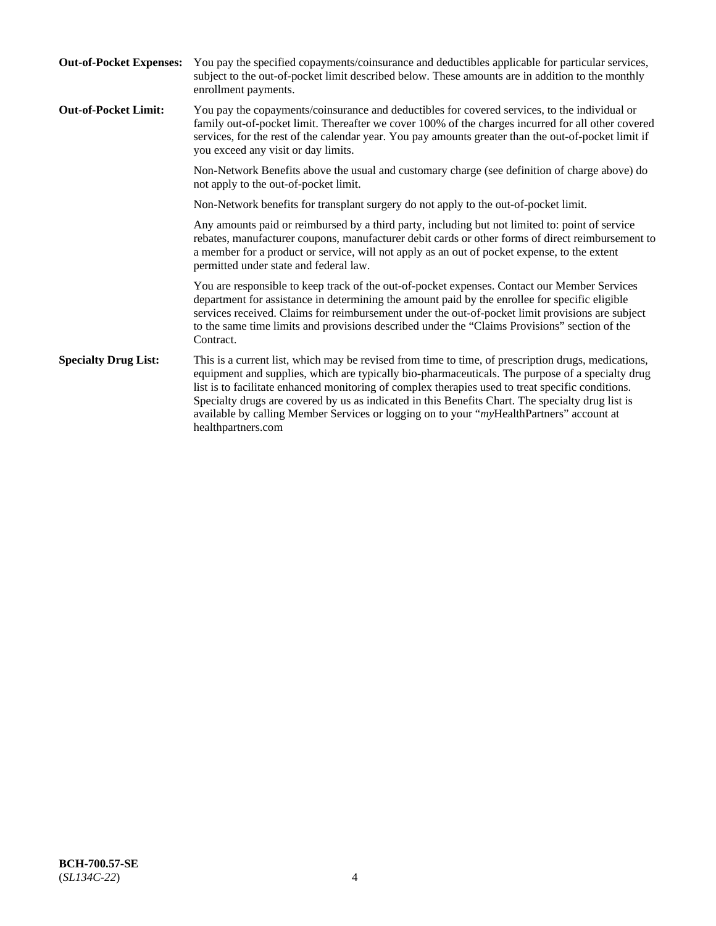| <b>Out-of-Pocket Expenses:</b> | You pay the specified copayments/coinsurance and deductibles applicable for particular services,<br>subject to the out-of-pocket limit described below. These amounts are in addition to the monthly<br>enrollment payments.                                                                                                                                                                                                                                                                                                        |
|--------------------------------|-------------------------------------------------------------------------------------------------------------------------------------------------------------------------------------------------------------------------------------------------------------------------------------------------------------------------------------------------------------------------------------------------------------------------------------------------------------------------------------------------------------------------------------|
| <b>Out-of-Pocket Limit:</b>    | You pay the copayments/coinsurance and deductibles for covered services, to the individual or<br>family out-of-pocket limit. Thereafter we cover 100% of the charges incurred for all other covered<br>services, for the rest of the calendar year. You pay amounts greater than the out-of-pocket limit if<br>you exceed any visit or day limits.                                                                                                                                                                                  |
|                                | Non-Network Benefits above the usual and customary charge (see definition of charge above) do<br>not apply to the out-of-pocket limit.                                                                                                                                                                                                                                                                                                                                                                                              |
|                                | Non-Network benefits for transplant surgery do not apply to the out-of-pocket limit.                                                                                                                                                                                                                                                                                                                                                                                                                                                |
|                                | Any amounts paid or reimbursed by a third party, including but not limited to: point of service<br>rebates, manufacturer coupons, manufacturer debit cards or other forms of direct reimbursement to<br>a member for a product or service, will not apply as an out of pocket expense, to the extent<br>permitted under state and federal law.                                                                                                                                                                                      |
|                                | You are responsible to keep track of the out-of-pocket expenses. Contact our Member Services<br>department for assistance in determining the amount paid by the enrollee for specific eligible<br>services received. Claims for reimbursement under the out-of-pocket limit provisions are subject<br>to the same time limits and provisions described under the "Claims Provisions" section of the<br>Contract.                                                                                                                    |
| <b>Specialty Drug List:</b>    | This is a current list, which may be revised from time to time, of prescription drugs, medications,<br>equipment and supplies, which are typically bio-pharmaceuticals. The purpose of a specialty drug<br>list is to facilitate enhanced monitoring of complex therapies used to treat specific conditions.<br>Specialty drugs are covered by us as indicated in this Benefits Chart. The specialty drug list is<br>available by calling Member Services or logging on to your "myHealthPartners" account at<br>healthpartners.com |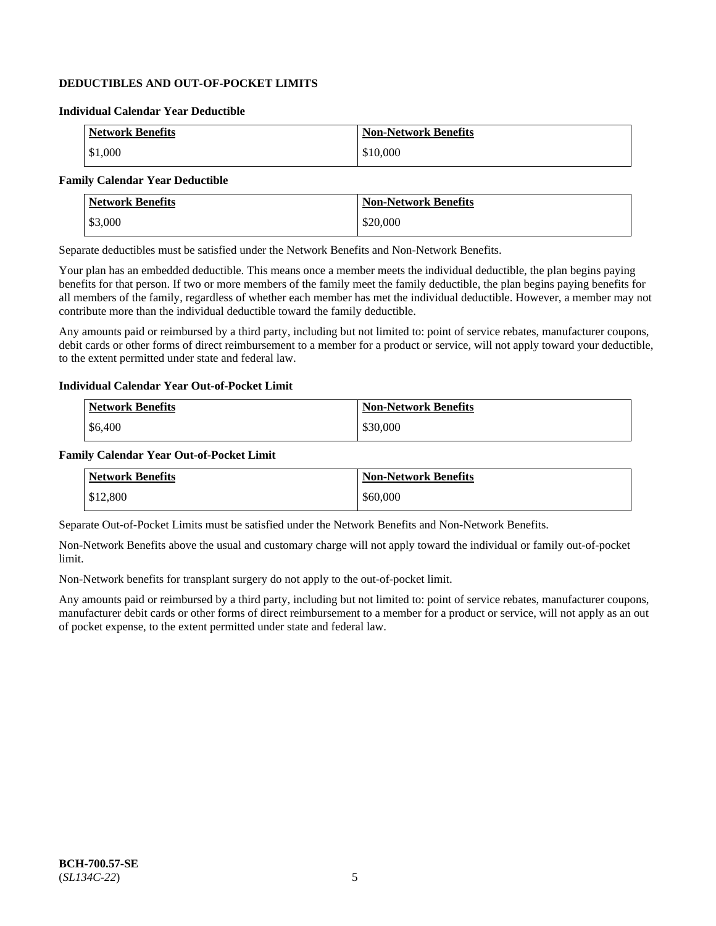## **DEDUCTIBLES AND OUT-OF-POCKET LIMITS**

### **Individual Calendar Year Deductible**

| <b>Network Benefits</b> | <b>Non-Network Benefits</b> |
|-------------------------|-----------------------------|
| \$1,000                 | \$10,000                    |

### **Family Calendar Year Deductible**

| <b>Network Benefits</b> | <b>Non-Network Benefits</b> |
|-------------------------|-----------------------------|
| \$3,000                 | \$20,000                    |

Separate deductibles must be satisfied under the Network Benefits and Non-Network Benefits.

Your plan has an embedded deductible. This means once a member meets the individual deductible, the plan begins paying benefits for that person. If two or more members of the family meet the family deductible, the plan begins paying benefits for all members of the family, regardless of whether each member has met the individual deductible. However, a member may not contribute more than the individual deductible toward the family deductible.

Any amounts paid or reimbursed by a third party, including but not limited to: point of service rebates, manufacturer coupons, debit cards or other forms of direct reimbursement to a member for a product or service, will not apply toward your deductible, to the extent permitted under state and federal law.

#### **Individual Calendar Year Out-of-Pocket Limit**

| <b>Network Benefits</b> | <b>Non-Network Benefits</b> |
|-------------------------|-----------------------------|
| \$6,400                 | \$30,000                    |

#### **Family Calendar Year Out-of-Pocket Limit**

| <b>Network Benefits</b> | Non-Network Benefits |
|-------------------------|----------------------|
| \$12,800                | \$60,000             |

Separate Out-of-Pocket Limits must be satisfied under the Network Benefits and Non-Network Benefits.

Non-Network Benefits above the usual and customary charge will not apply toward the individual or family out-of-pocket limit.

Non-Network benefits for transplant surgery do not apply to the out-of-pocket limit.

Any amounts paid or reimbursed by a third party, including but not limited to: point of service rebates, manufacturer coupons, manufacturer debit cards or other forms of direct reimbursement to a member for a product or service, will not apply as an out of pocket expense, to the extent permitted under state and federal law.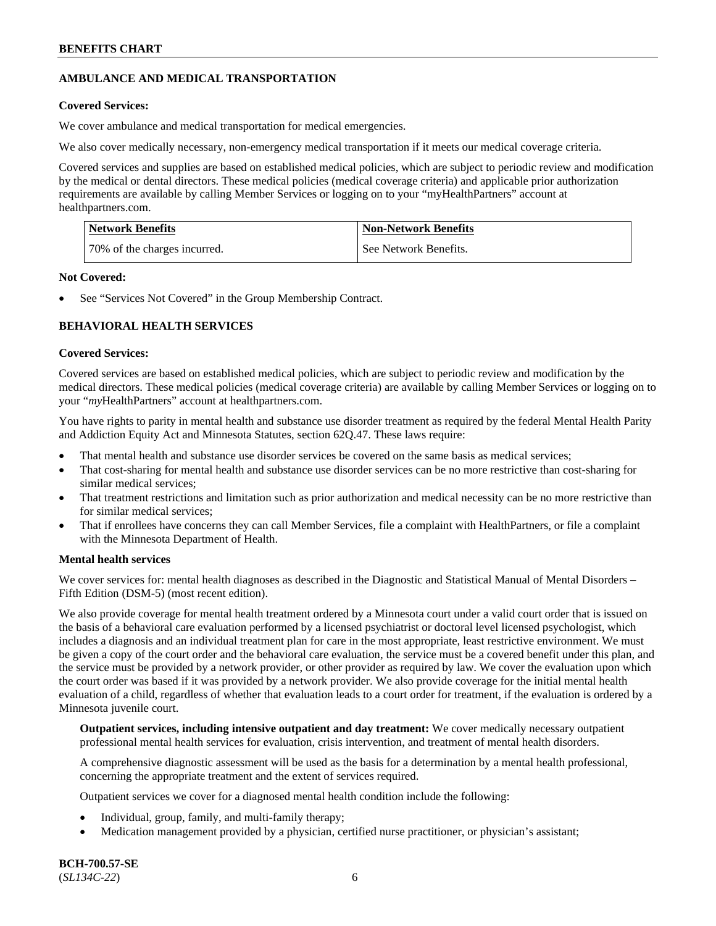## **AMBULANCE AND MEDICAL TRANSPORTATION**

## **Covered Services:**

We cover ambulance and medical transportation for medical emergencies.

We also cover medically necessary, non-emergency medical transportation if it meets our medical coverage criteria.

Covered services and supplies are based on established medical policies, which are subject to periodic review and modification by the medical or dental directors. These medical policies (medical coverage criteria) and applicable prior authorization requirements are available by calling Member Services or logging on to your "myHealthPartners" account at [healthpartners.com.](https://www.healthpartners.com/hp/index.html)

| <b>Network Benefits</b>      | <b>Non-Network Benefits</b> |
|------------------------------|-----------------------------|
| 70% of the charges incurred. | See Network Benefits.       |

### **Not Covered:**

See "Services Not Covered" in the Group Membership Contract.

## **BEHAVIORAL HEALTH SERVICES**

## **Covered Services:**

Covered services are based on established medical policies, which are subject to periodic review and modification by the medical directors. These medical policies (medical coverage criteria) are available by calling Member Services or logging on to your "*my*HealthPartners" account at [healthpartners.com.](http://www.healthpartners.com/)

You have rights to parity in mental health and substance use disorder treatment as required by the federal Mental Health Parity and Addiction Equity Act and Minnesota Statutes, section 62Q.47. These laws require:

- That mental health and substance use disorder services be covered on the same basis as medical services;
- That cost-sharing for mental health and substance use disorder services can be no more restrictive than cost-sharing for similar medical services;
- That treatment restrictions and limitation such as prior authorization and medical necessity can be no more restrictive than for similar medical services;
- That if enrollees have concerns they can call Member Services, file a complaint with HealthPartners, or file a complaint with the Minnesota Department of Health.

### **Mental health services**

We cover services for: mental health diagnoses as described in the Diagnostic and Statistical Manual of Mental Disorders – Fifth Edition (DSM-5) (most recent edition).

We also provide coverage for mental health treatment ordered by a Minnesota court under a valid court order that is issued on the basis of a behavioral care evaluation performed by a licensed psychiatrist or doctoral level licensed psychologist, which includes a diagnosis and an individual treatment plan for care in the most appropriate, least restrictive environment. We must be given a copy of the court order and the behavioral care evaluation, the service must be a covered benefit under this plan, and the service must be provided by a network provider, or other provider as required by law. We cover the evaluation upon which the court order was based if it was provided by a network provider. We also provide coverage for the initial mental health evaluation of a child, regardless of whether that evaluation leads to a court order for treatment, if the evaluation is ordered by a Minnesota juvenile court.

**Outpatient services, including intensive outpatient and day treatment:** We cover medically necessary outpatient professional mental health services for evaluation, crisis intervention, and treatment of mental health disorders.

A comprehensive diagnostic assessment will be used as the basis for a determination by a mental health professional, concerning the appropriate treatment and the extent of services required.

Outpatient services we cover for a diagnosed mental health condition include the following:

- Individual, group, family, and multi-family therapy;
- Medication management provided by a physician, certified nurse practitioner, or physician's assistant;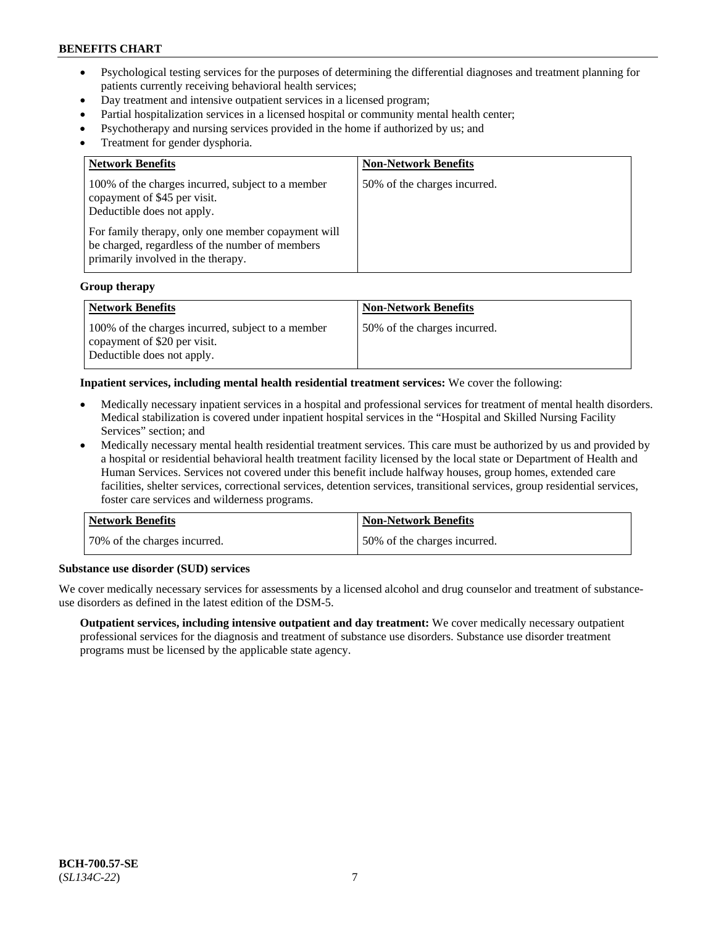- Psychological testing services for the purposes of determining the differential diagnoses and treatment planning for patients currently receiving behavioral health services;
- Day treatment and intensive outpatient services in a licensed program;
- Partial hospitalization services in a licensed hospital or community mental health center;
- Psychotherapy and nursing services provided in the home if authorized by us; and
- Treatment for gender dysphoria.

| <b>Network Benefits</b>                                                                                                                                                                                                                                        | <b>Non-Network Benefits</b>  |
|----------------------------------------------------------------------------------------------------------------------------------------------------------------------------------------------------------------------------------------------------------------|------------------------------|
| 100% of the charges incurred, subject to a member<br>copayment of \$45 per visit.<br>Deductible does not apply.<br>For family therapy, only one member copayment will<br>be charged, regardless of the number of members<br>primarily involved in the therapy. | 50% of the charges incurred. |

#### **Group therapy**

| Network Benefits                                                                                                | <b>Non-Network Benefits</b>   |
|-----------------------------------------------------------------------------------------------------------------|-------------------------------|
| 100% of the charges incurred, subject to a member<br>copayment of \$20 per visit.<br>Deductible does not apply. | 150% of the charges incurred. |

#### **Inpatient services, including mental health residential treatment services:** We cover the following:

- Medically necessary inpatient services in a hospital and professional services for treatment of mental health disorders. Medical stabilization is covered under inpatient hospital services in the "Hospital and Skilled Nursing Facility Services" section; and
- Medically necessary mental health residential treatment services. This care must be authorized by us and provided by a hospital or residential behavioral health treatment facility licensed by the local state or Department of Health and Human Services. Services not covered under this benefit include halfway houses, group homes, extended care facilities, shelter services, correctional services, detention services, transitional services, group residential services, foster care services and wilderness programs.

| <b>Network Benefits</b>      | <b>Non-Network Benefits</b>  |
|------------------------------|------------------------------|
| 70% of the charges incurred. | 50% of the charges incurred. |

#### **Substance use disorder (SUD) services**

We cover medically necessary services for assessments by a licensed alcohol and drug counselor and treatment of substanceuse disorders as defined in the latest edition of the DSM-5.

**Outpatient services, including intensive outpatient and day treatment:** We cover medically necessary outpatient professional services for the diagnosis and treatment of substance use disorders. Substance use disorder treatment programs must be licensed by the applicable state agency.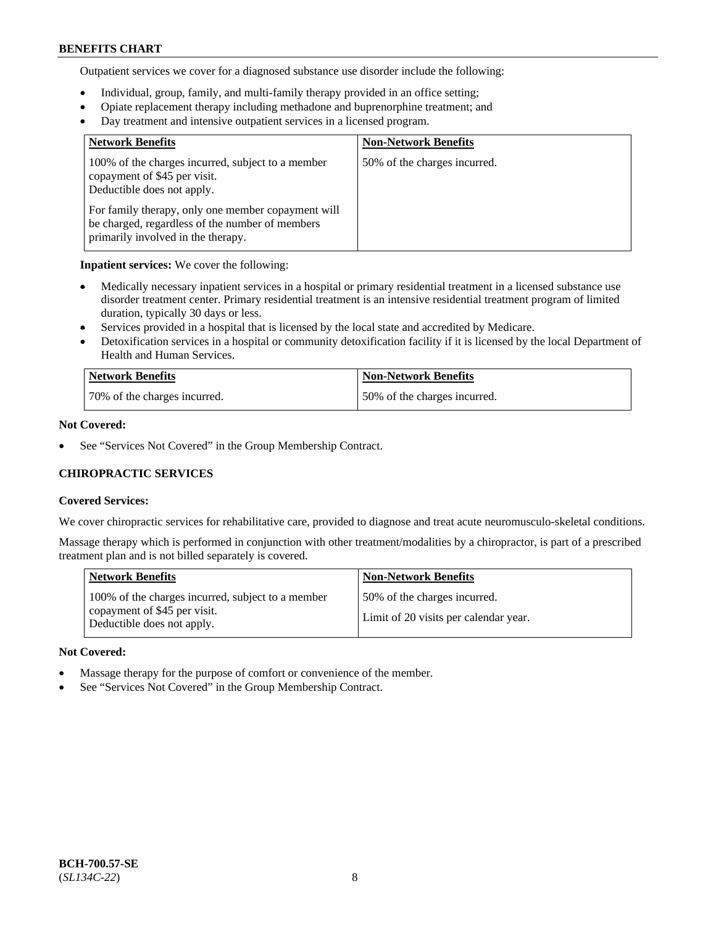Outpatient services we cover for a diagnosed substance use disorder include the following:

- Individual, group, family, and multi-family therapy provided in an office setting;
- Opiate replacement therapy including methadone and buprenorphine treatment; and
- Day treatment and intensive outpatient services in a licensed program.

| <b>Network Benefits</b>                                                                                                                     | <b>Non-Network Benefits</b>  |
|---------------------------------------------------------------------------------------------------------------------------------------------|------------------------------|
| 100% of the charges incurred, subject to a member<br>copayment of \$45 per visit.<br>Deductible does not apply.                             | 50% of the charges incurred. |
| For family therapy, only one member copayment will<br>be charged, regardless of the number of members<br>primarily involved in the therapy. |                              |

**Inpatient services:** We cover the following:

- Medically necessary inpatient services in a hospital or primary residential treatment in a licensed substance use disorder treatment center. Primary residential treatment is an intensive residential treatment program of limited duration, typically 30 days or less.
- Services provided in a hospital that is licensed by the local state and accredited by Medicare.
- Detoxification services in a hospital or community detoxification facility if it is licensed by the local Department of Health and Human Services.

| Network Benefits             | <b>Non-Network Benefits</b>  |
|------------------------------|------------------------------|
| 70% of the charges incurred. | 50% of the charges incurred. |

## **Not Covered:**

See "Services Not Covered" in the Group Membership Contract.

## **CHIROPRACTIC SERVICES**

### **Covered Services:**

We cover chiropractic services for rehabilitative care, provided to diagnose and treat acute neuromusculo-skeletal conditions.

Massage therapy which is performed in conjunction with other treatment/modalities by a chiropractor, is part of a prescribed treatment plan and is not billed separately is covered.

| <b>Network Benefits</b>                                                                                         | <b>Non-Network Benefits</b>                                           |
|-----------------------------------------------------------------------------------------------------------------|-----------------------------------------------------------------------|
| 100% of the charges incurred, subject to a member<br>copayment of \$45 per visit.<br>Deductible does not apply. | 50% of the charges incurred.<br>Limit of 20 visits per calendar year. |

### **Not Covered:**

- Massage therapy for the purpose of comfort or convenience of the member.
- See "Services Not Covered" in the Group Membership Contract.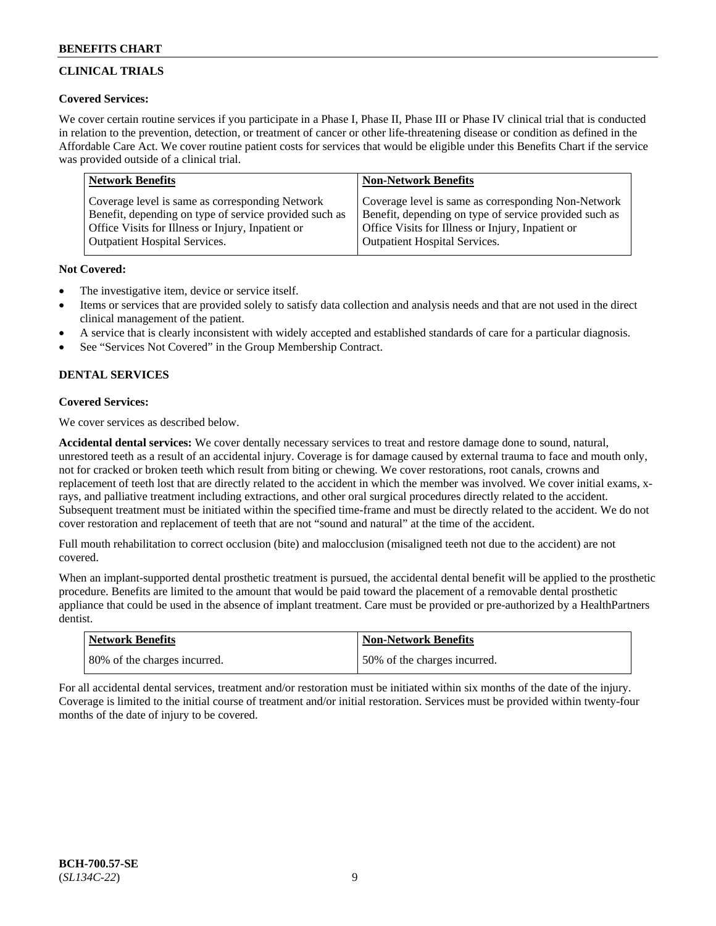## **CLINICAL TRIALS**

### **Covered Services:**

We cover certain routine services if you participate in a Phase I, Phase II, Phase III or Phase IV clinical trial that is conducted in relation to the prevention, detection, or treatment of cancer or other life-threatening disease or condition as defined in the Affordable Care Act. We cover routine patient costs for services that would be eligible under this Benefits Chart if the service was provided outside of a clinical trial.

| <b>Network Benefits</b>                                | <b>Non-Network Benefits</b>                            |
|--------------------------------------------------------|--------------------------------------------------------|
| Coverage level is same as corresponding Network        | Coverage level is same as corresponding Non-Network    |
| Benefit, depending on type of service provided such as | Benefit, depending on type of service provided such as |
| Office Visits for Illness or Injury, Inpatient or      | Office Visits for Illness or Injury, Inpatient or      |
| <b>Outpatient Hospital Services.</b>                   | <b>Outpatient Hospital Services.</b>                   |

### **Not Covered:**

- The investigative item, device or service itself.
- Items or services that are provided solely to satisfy data collection and analysis needs and that are not used in the direct clinical management of the patient.
- A service that is clearly inconsistent with widely accepted and established standards of care for a particular diagnosis.
- See "Services Not Covered" in the Group Membership Contract.

## **DENTAL SERVICES**

## **Covered Services:**

We cover services as described below.

**Accidental dental services:** We cover dentally necessary services to treat and restore damage done to sound, natural, unrestored teeth as a result of an accidental injury. Coverage is for damage caused by external trauma to face and mouth only, not for cracked or broken teeth which result from biting or chewing. We cover restorations, root canals, crowns and replacement of teeth lost that are directly related to the accident in which the member was involved. We cover initial exams, xrays, and palliative treatment including extractions, and other oral surgical procedures directly related to the accident. Subsequent treatment must be initiated within the specified time-frame and must be directly related to the accident. We do not cover restoration and replacement of teeth that are not "sound and natural" at the time of the accident.

Full mouth rehabilitation to correct occlusion (bite) and malocclusion (misaligned teeth not due to the accident) are not covered.

When an implant-supported dental prosthetic treatment is pursued, the accidental dental benefit will be applied to the prosthetic procedure. Benefits are limited to the amount that would be paid toward the placement of a removable dental prosthetic appliance that could be used in the absence of implant treatment. Care must be provided or pre-authorized by a HealthPartners dentist.

| <b>Network Benefits</b>      | <b>Non-Network Benefits</b>   |
|------------------------------|-------------------------------|
| 80% of the charges incurred. | 150% of the charges incurred. |

For all accidental dental services, treatment and/or restoration must be initiated within six months of the date of the injury. Coverage is limited to the initial course of treatment and/or initial restoration. Services must be provided within twenty-four months of the date of injury to be covered.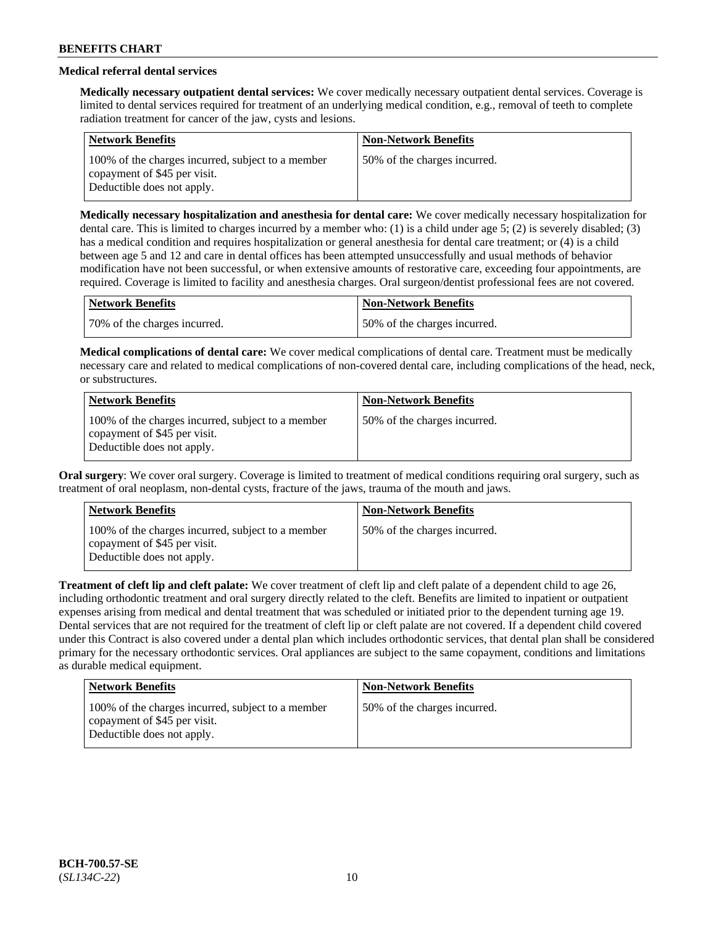## **Medical referral dental services**

**Medically necessary outpatient dental services:** We cover medically necessary outpatient dental services. Coverage is limited to dental services required for treatment of an underlying medical condition, e.g., removal of teeth to complete radiation treatment for cancer of the jaw, cysts and lesions.

| <b>Network Benefits</b>                                                                                         | <b>Non-Network Benefits</b>  |
|-----------------------------------------------------------------------------------------------------------------|------------------------------|
| 100% of the charges incurred, subject to a member<br>copayment of \$45 per visit.<br>Deductible does not apply. | 50% of the charges incurred. |

**Medically necessary hospitalization and anesthesia for dental care:** We cover medically necessary hospitalization for dental care. This is limited to charges incurred by a member who: (1) is a child under age 5; (2) is severely disabled; (3) has a medical condition and requires hospitalization or general anesthesia for dental care treatment; or (4) is a child between age 5 and 12 and care in dental offices has been attempted unsuccessfully and usual methods of behavior modification have not been successful, or when extensive amounts of restorative care, exceeding four appointments, are required. Coverage is limited to facility and anesthesia charges. Oral surgeon/dentist professional fees are not covered.

| Network Benefits             | <b>Non-Network Benefits</b>  |
|------------------------------|------------------------------|
| 70% of the charges incurred. | 50% of the charges incurred. |

**Medical complications of dental care:** We cover medical complications of dental care. Treatment must be medically necessary care and related to medical complications of non-covered dental care, including complications of the head, neck, or substructures.

| <b>Network Benefits</b>                                                                                         | <b>Non-Network Benefits</b>  |
|-----------------------------------------------------------------------------------------------------------------|------------------------------|
| 100% of the charges incurred, subject to a member<br>copayment of \$45 per visit.<br>Deductible does not apply. | 50% of the charges incurred. |

**Oral surgery**: We cover oral surgery. Coverage is limited to treatment of medical conditions requiring oral surgery, such as treatment of oral neoplasm, non-dental cysts, fracture of the jaws, trauma of the mouth and jaws.

| <b>Network Benefits</b>                                                                                         | <b>Non-Network Benefits</b>  |
|-----------------------------------------------------------------------------------------------------------------|------------------------------|
| 100% of the charges incurred, subject to a member<br>copayment of \$45 per visit.<br>Deductible does not apply. | 50% of the charges incurred. |

**Treatment of cleft lip and cleft palate:** We cover treatment of cleft lip and cleft palate of a dependent child to age 26, including orthodontic treatment and oral surgery directly related to the cleft. Benefits are limited to inpatient or outpatient expenses arising from medical and dental treatment that was scheduled or initiated prior to the dependent turning age 19. Dental services that are not required for the treatment of cleft lip or cleft palate are not covered. If a dependent child covered under this Contract is also covered under a dental plan which includes orthodontic services, that dental plan shall be considered primary for the necessary orthodontic services. Oral appliances are subject to the same copayment, conditions and limitations as durable medical equipment.

| <b>Network Benefits</b>                                                                                         | <b>Non-Network Benefits</b>  |
|-----------------------------------------------------------------------------------------------------------------|------------------------------|
| 100% of the charges incurred, subject to a member<br>copayment of \$45 per visit.<br>Deductible does not apply. | 50% of the charges incurred. |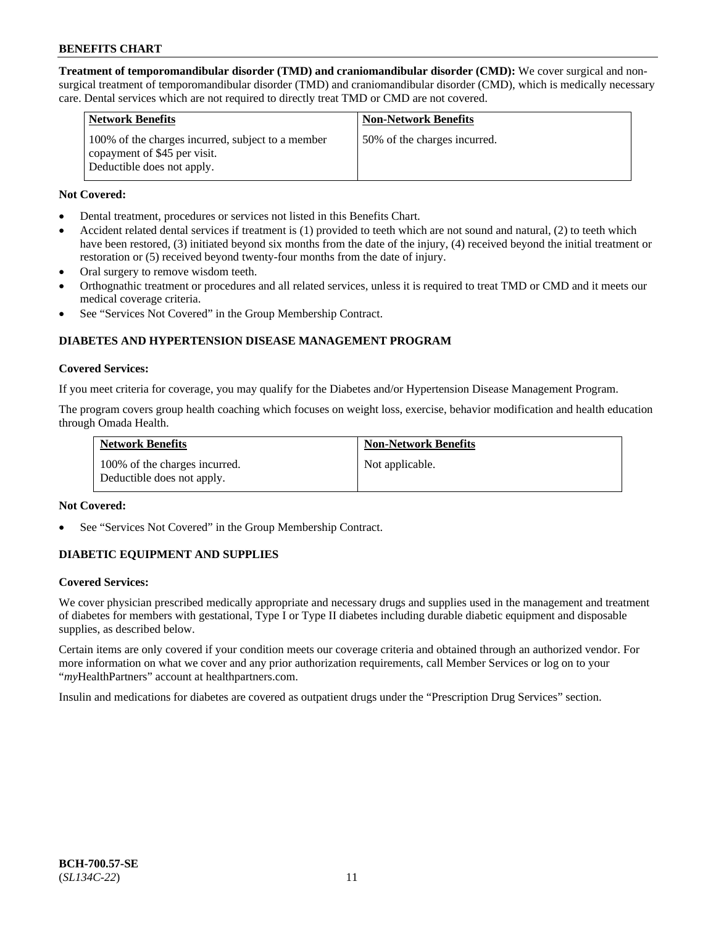**Treatment of temporomandibular disorder (TMD) and craniomandibular disorder (CMD):** We cover surgical and nonsurgical treatment of temporomandibular disorder (TMD) and craniomandibular disorder (CMD), which is medically necessary care. Dental services which are not required to directly treat TMD or CMD are not covered.

| <b>Network Benefits</b>                                                                                         | <b>Non-Network Benefits</b>  |
|-----------------------------------------------------------------------------------------------------------------|------------------------------|
| 100% of the charges incurred, subject to a member<br>copayment of \$45 per visit.<br>Deductible does not apply. | 50% of the charges incurred. |

### **Not Covered:**

- Dental treatment, procedures or services not listed in this Benefits Chart.
- Accident related dental services if treatment is (1) provided to teeth which are not sound and natural, (2) to teeth which have been restored, (3) initiated beyond six months from the date of the injury, (4) received beyond the initial treatment or restoration or (5) received beyond twenty-four months from the date of injury.
- Oral surgery to remove wisdom teeth.
- Orthognathic treatment or procedures and all related services, unless it is required to treat TMD or CMD and it meets our medical coverage criteria.
- See "Services Not Covered" in the Group Membership Contract.

## **DIABETES AND HYPERTENSION DISEASE MANAGEMENT PROGRAM**

#### **Covered Services:**

If you meet criteria for coverage, you may qualify for the Diabetes and/or Hypertension Disease Management Program.

The program covers group health coaching which focuses on weight loss, exercise, behavior modification and health education through Omada Health.

| <b>Network Benefits</b>                                     | <b>Non-Network Benefits</b> |
|-------------------------------------------------------------|-----------------------------|
| 100% of the charges incurred.<br>Deductible does not apply. | Not applicable.             |

### **Not Covered:**

See "Services Not Covered" in the Group Membership Contract.

### **DIABETIC EQUIPMENT AND SUPPLIES**

### **Covered Services:**

We cover physician prescribed medically appropriate and necessary drugs and supplies used in the management and treatment of diabetes for members with gestational, Type I or Type II diabetes including durable diabetic equipment and disposable supplies, as described below.

Certain items are only covered if your condition meets our coverage criteria and obtained through an authorized vendor. For more information on what we cover and any prior authorization requirements, call Member Services or log on to your "*my*HealthPartners" account at [healthpartners.com.](http://www.healthpartners.com/)

Insulin and medications for diabetes are covered as outpatient drugs under the "Prescription Drug Services" section.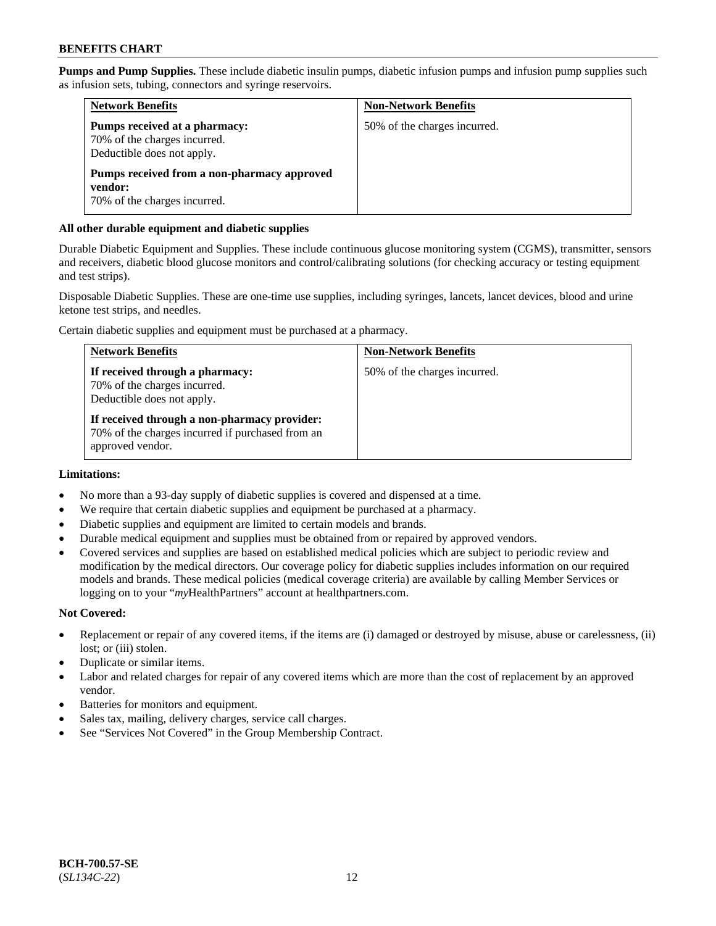**Pumps and Pump Supplies.** These include diabetic insulin pumps, diabetic infusion pumps and infusion pump supplies such as infusion sets, tubing, connectors and syringe reservoirs.

| <b>Network Benefits</b>                                                                     | <b>Non-Network Benefits</b>  |
|---------------------------------------------------------------------------------------------|------------------------------|
| Pumps received at a pharmacy:<br>70% of the charges incurred.<br>Deductible does not apply. | 50% of the charges incurred. |
| Pumps received from a non-pharmacy approved<br>vendor:<br>70% of the charges incurred.      |                              |

### **All other durable equipment and diabetic supplies**

Durable Diabetic Equipment and Supplies. These include continuous glucose monitoring system (CGMS), transmitter, sensors and receivers, diabetic blood glucose monitors and control/calibrating solutions (for checking accuracy or testing equipment and test strips).

Disposable Diabetic Supplies. These are one-time use supplies, including syringes, lancets, lancet devices, blood and urine ketone test strips, and needles.

Certain diabetic supplies and equipment must be purchased at a pharmacy.

| <b>Network Benefits</b>                                                                                              | <b>Non-Network Benefits</b>  |
|----------------------------------------------------------------------------------------------------------------------|------------------------------|
| If received through a pharmacy:<br>70% of the charges incurred.<br>Deductible does not apply.                        | 50% of the charges incurred. |
| If received through a non-pharmacy provider:<br>70% of the charges incurred if purchased from an<br>approved vendor. |                              |

### **Limitations:**

- No more than a 93-day supply of diabetic supplies is covered and dispensed at a time.
- We require that certain diabetic supplies and equipment be purchased at a pharmacy.
- Diabetic supplies and equipment are limited to certain models and brands.
- Durable medical equipment and supplies must be obtained from or repaired by approved vendors.
- Covered services and supplies are based on established medical policies which are subject to periodic review and modification by the medical directors. Our coverage policy for diabetic supplies includes information on our required models and brands. These medical policies (medical coverage criteria) are available by calling Member Services or logging on to your "*my*HealthPartners" account at [healthpartners.com.](http://www.healthpartners.com/)

### **Not Covered:**

- Replacement or repair of any covered items, if the items are (i) damaged or destroyed by misuse, abuse or carelessness, (ii) lost; or (iii) stolen.
- Duplicate or similar items.
- Labor and related charges for repair of any covered items which are more than the cost of replacement by an approved vendor.
- Batteries for monitors and equipment.
- Sales tax, mailing, delivery charges, service call charges.
- See "Services Not Covered" in the Group Membership Contract.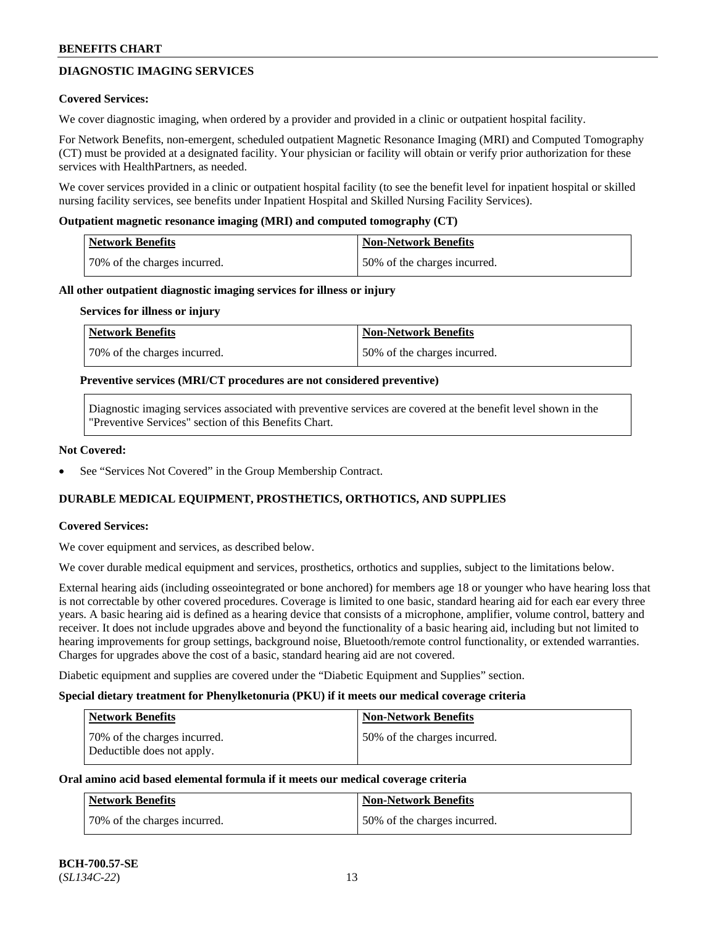## **DIAGNOSTIC IMAGING SERVICES**

### **Covered Services:**

We cover diagnostic imaging, when ordered by a provider and provided in a clinic or outpatient hospital facility.

For Network Benefits, non-emergent, scheduled outpatient Magnetic Resonance Imaging (MRI) and Computed Tomography (CT) must be provided at a designated facility. Your physician or facility will obtain or verify prior authorization for these services with HealthPartners, as needed.

We cover services provided in a clinic or outpatient hospital facility (to see the benefit level for inpatient hospital or skilled nursing facility services, see benefits under Inpatient Hospital and Skilled Nursing Facility Services).

#### **Outpatient magnetic resonance imaging (MRI) and computed tomography (CT)**

| Network Benefits             | Non-Network Benefits         |
|------------------------------|------------------------------|
| 70% of the charges incurred. | 50% of the charges incurred. |

#### **All other outpatient diagnostic imaging services for illness or injury**

#### **Services for illness or injury**

| Network Benefits             | Non-Network Benefits         |
|------------------------------|------------------------------|
| 70% of the charges incurred. | 50% of the charges incurred. |

#### **Preventive services (MRI/CT procedures are not considered preventive)**

Diagnostic imaging services associated with preventive services are covered at the benefit level shown in the "Preventive Services" section of this Benefits Chart.

#### **Not Covered:**

See "Services Not Covered" in the Group Membership Contract.

### **DURABLE MEDICAL EQUIPMENT, PROSTHETICS, ORTHOTICS, AND SUPPLIES**

### **Covered Services:**

We cover equipment and services, as described below.

We cover durable medical equipment and services, prosthetics, orthotics and supplies, subject to the limitations below.

External hearing aids (including osseointegrated or bone anchored) for members age 18 or younger who have hearing loss that is not correctable by other covered procedures. Coverage is limited to one basic, standard hearing aid for each ear every three years. A basic hearing aid is defined as a hearing device that consists of a microphone, amplifier, volume control, battery and receiver. It does not include upgrades above and beyond the functionality of a basic hearing aid, including but not limited to hearing improvements for group settings, background noise, Bluetooth/remote control functionality, or extended warranties. Charges for upgrades above the cost of a basic, standard hearing aid are not covered.

Diabetic equipment and supplies are covered under the "Diabetic Equipment and Supplies" section.

#### **Special dietary treatment for Phenylketonuria (PKU) if it meets our medical coverage criteria**

| <b>Network Benefits</b>                                    | <b>Non-Network Benefits</b>  |
|------------------------------------------------------------|------------------------------|
| 70% of the charges incurred.<br>Deductible does not apply. | 50% of the charges incurred. |

### **Oral amino acid based elemental formula if it meets our medical coverage criteria**

| Network Benefits             | Non-Network Benefits         |
|------------------------------|------------------------------|
| 70% of the charges incurred. | 50% of the charges incurred. |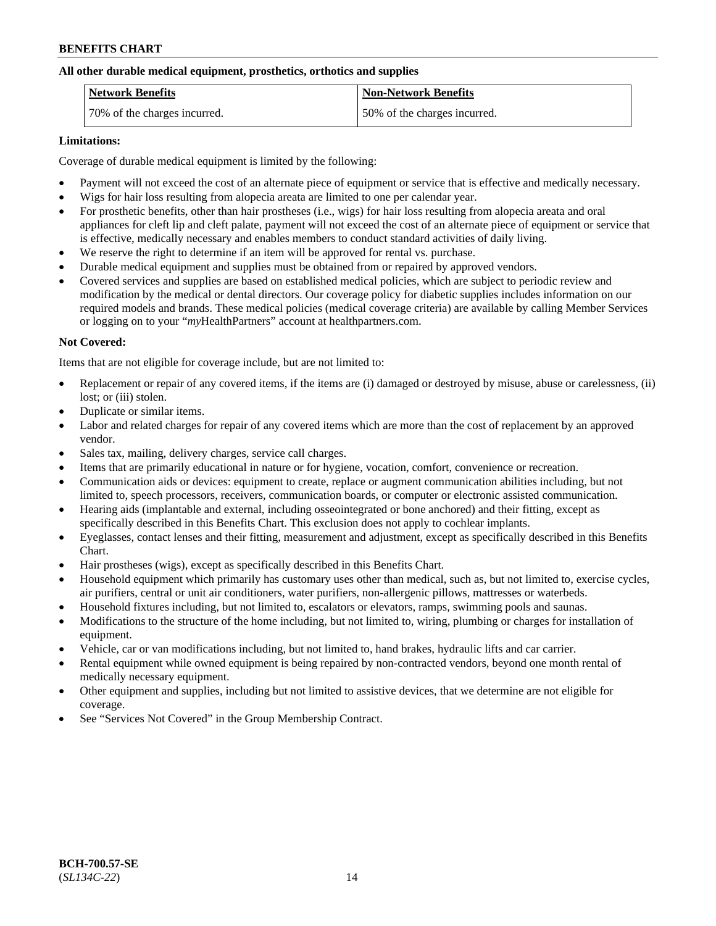### **All other durable medical equipment, prosthetics, orthotics and supplies**

| <b>Network Benefits</b>      | <b>Non-Network Benefits</b>  |
|------------------------------|------------------------------|
| 70% of the charges incurred. | 50% of the charges incurred. |

### **Limitations:**

Coverage of durable medical equipment is limited by the following:

- Payment will not exceed the cost of an alternate piece of equipment or service that is effective and medically necessary.
- Wigs for hair loss resulting from alopecia areata are limited to one per calendar year.
- For prosthetic benefits, other than hair prostheses (i.e., wigs) for hair loss resulting from alopecia areata and oral appliances for cleft lip and cleft palate, payment will not exceed the cost of an alternate piece of equipment or service that is effective, medically necessary and enables members to conduct standard activities of daily living.
- We reserve the right to determine if an item will be approved for rental vs. purchase.
- Durable medical equipment and supplies must be obtained from or repaired by approved vendors.
- Covered services and supplies are based on established medical policies, which are subject to periodic review and modification by the medical or dental directors. Our coverage policy for diabetic supplies includes information on our required models and brands. These medical policies (medical coverage criteria) are available by calling Member Services or logging on to your "*my*HealthPartners" account a[t healthpartners.com.](https://www.healthpartners.com/hp/index.html)

## **Not Covered:**

Items that are not eligible for coverage include, but are not limited to:

- Replacement or repair of any covered items, if the items are (i) damaged or destroyed by misuse, abuse or carelessness, (ii) lost; or (iii) stolen.
- Duplicate or similar items.
- Labor and related charges for repair of any covered items which are more than the cost of replacement by an approved vendor.
- Sales tax, mailing, delivery charges, service call charges.
- Items that are primarily educational in nature or for hygiene, vocation, comfort, convenience or recreation.
- Communication aids or devices: equipment to create, replace or augment communication abilities including, but not limited to, speech processors, receivers, communication boards, or computer or electronic assisted communication.
- Hearing aids (implantable and external, including osseointegrated or bone anchored) and their fitting, except as specifically described in this Benefits Chart. This exclusion does not apply to cochlear implants.
- Eyeglasses, contact lenses and their fitting, measurement and adjustment, except as specifically described in this Benefits Chart.
- Hair prostheses (wigs), except as specifically described in this Benefits Chart.
- Household equipment which primarily has customary uses other than medical, such as, but not limited to, exercise cycles, air purifiers, central or unit air conditioners, water purifiers, non-allergenic pillows, mattresses or waterbeds.
- Household fixtures including, but not limited to, escalators or elevators, ramps, swimming pools and saunas.
- Modifications to the structure of the home including, but not limited to, wiring, plumbing or charges for installation of equipment.
- Vehicle, car or van modifications including, but not limited to, hand brakes, hydraulic lifts and car carrier.
- Rental equipment while owned equipment is being repaired by non-contracted vendors, beyond one month rental of medically necessary equipment.
- Other equipment and supplies, including but not limited to assistive devices, that we determine are not eligible for coverage.
- See "Services Not Covered" in the Group Membership Contract.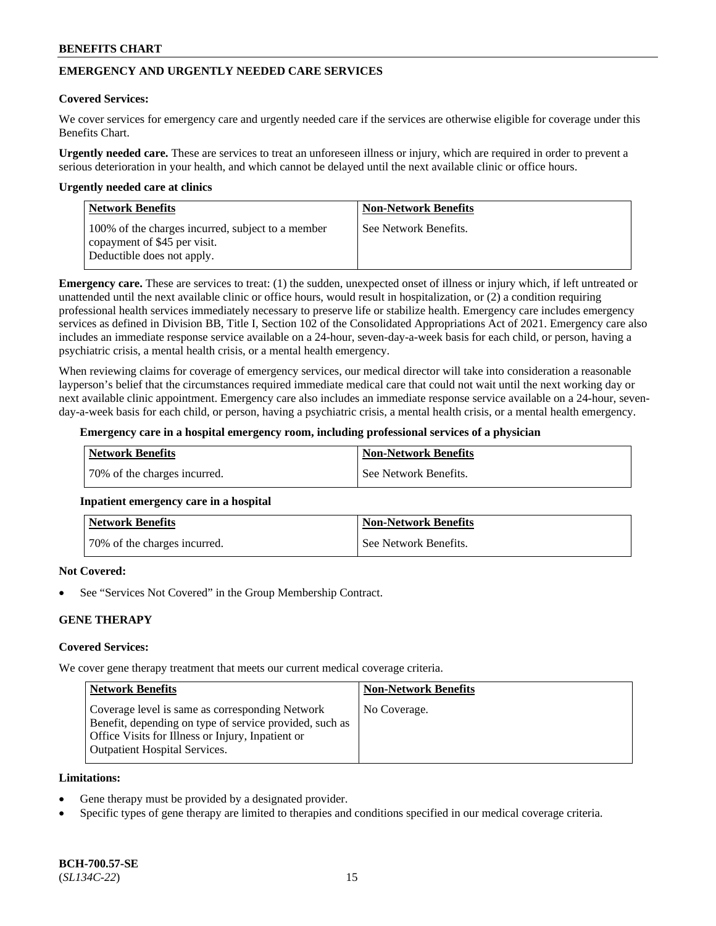## **EMERGENCY AND URGENTLY NEEDED CARE SERVICES**

#### **Covered Services:**

We cover services for emergency care and urgently needed care if the services are otherwise eligible for coverage under this Benefits Chart.

**Urgently needed care.** These are services to treat an unforeseen illness or injury, which are required in order to prevent a serious deterioration in your health, and which cannot be delayed until the next available clinic or office hours.

#### **Urgently needed care at clinics**

| <b>Network Benefits</b>                                                                                         | <b>Non-Network Benefits</b> |
|-----------------------------------------------------------------------------------------------------------------|-----------------------------|
| 100% of the charges incurred, subject to a member<br>copayment of \$45 per visit.<br>Deductible does not apply. | See Network Benefits.       |

**Emergency care.** These are services to treat: (1) the sudden, unexpected onset of illness or injury which, if left untreated or unattended until the next available clinic or office hours, would result in hospitalization, or (2) a condition requiring professional health services immediately necessary to preserve life or stabilize health. Emergency care includes emergency services as defined in Division BB, Title I, Section 102 of the Consolidated Appropriations Act of 2021. Emergency care also includes an immediate response service available on a 24-hour, seven-day-a-week basis for each child, or person, having a psychiatric crisis, a mental health crisis, or a mental health emergency.

When reviewing claims for coverage of emergency services, our medical director will take into consideration a reasonable layperson's belief that the circumstances required immediate medical care that could not wait until the next working day or next available clinic appointment. Emergency care also includes an immediate response service available on a 24-hour, sevenday-a-week basis for each child, or person, having a psychiatric crisis, a mental health crisis, or a mental health emergency.

#### **Emergency care in a hospital emergency room, including professional services of a physician**

| Network Benefits             | Non-Network Benefits  |
|------------------------------|-----------------------|
| 70% of the charges incurred. | See Network Benefits. |

### **Inpatient emergency care in a hospital**

| <b>Network Benefits</b>      | Non-Network Benefits  |
|------------------------------|-----------------------|
| 70% of the charges incurred. | See Network Benefits. |

### **Not Covered:**

See "Services Not Covered" in the Group Membership Contract.

### **GENE THERAPY**

### **Covered Services:**

We cover gene therapy treatment that meets our current medical coverage criteria.

| <b>Network Benefits</b>                                                                                                                                                                                 | <b>Non-Network Benefits</b> |
|---------------------------------------------------------------------------------------------------------------------------------------------------------------------------------------------------------|-----------------------------|
| Coverage level is same as corresponding Network<br>Benefit, depending on type of service provided, such as<br>Office Visits for Illness or Injury, Inpatient or<br><b>Outpatient Hospital Services.</b> | No Coverage.                |

#### **Limitations:**

- Gene therapy must be provided by a designated provider.
- Specific types of gene therapy are limited to therapies and conditions specified in our medical coverage criteria.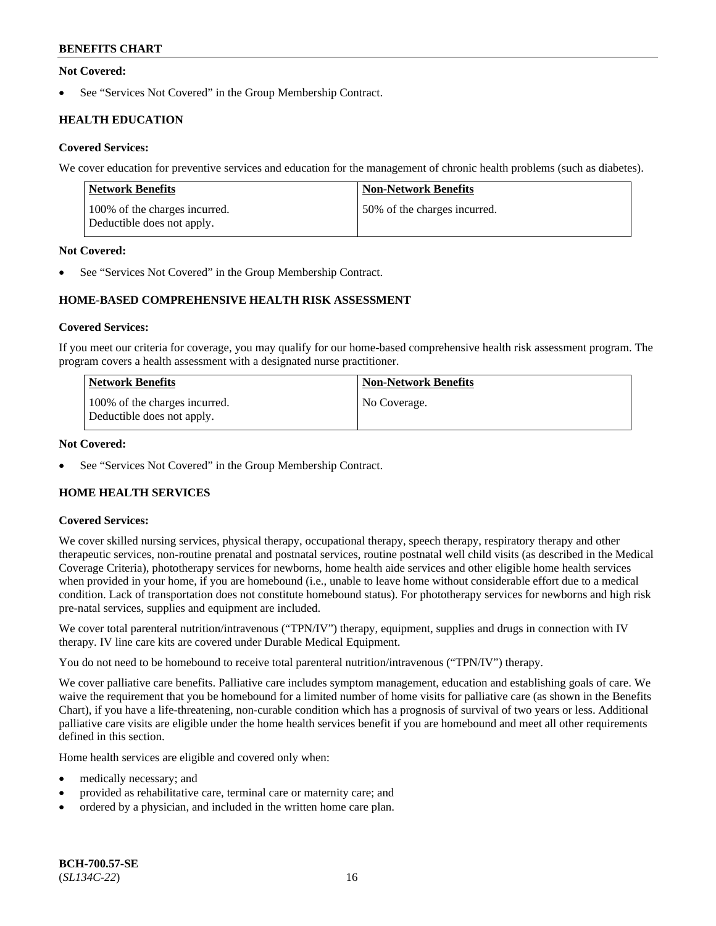### **Not Covered:**

See "Services Not Covered" in the Group Membership Contract.

## **HEALTH EDUCATION**

### **Covered Services:**

We cover education for preventive services and education for the management of chronic health problems (such as diabetes).

| <b>Network Benefits</b>                                     | <b>Non-Network Benefits</b>  |
|-------------------------------------------------------------|------------------------------|
| 100% of the charges incurred.<br>Deductible does not apply. | 50% of the charges incurred. |

### **Not Covered:**

See "Services Not Covered" in the Group Membership Contract.

## **HOME-BASED COMPREHENSIVE HEALTH RISK ASSESSMENT**

### **Covered Services:**

If you meet our criteria for coverage, you may qualify for our home-based comprehensive health risk assessment program. The program covers a health assessment with a designated nurse practitioner.

| <b>Network Benefits</b>                                     | <b>Non-Network Benefits</b> |
|-------------------------------------------------------------|-----------------------------|
| 100% of the charges incurred.<br>Deductible does not apply. | No Coverage.                |

### **Not Covered:**

See "Services Not Covered" in the Group Membership Contract.

## **HOME HEALTH SERVICES**

### **Covered Services:**

We cover skilled nursing services, physical therapy, occupational therapy, speech therapy, respiratory therapy and other therapeutic services, non-routine prenatal and postnatal services, routine postnatal well child visits (as described in the Medical Coverage Criteria), phototherapy services for newborns, home health aide services and other eligible home health services when provided in your home, if you are homebound (i.e., unable to leave home without considerable effort due to a medical condition. Lack of transportation does not constitute homebound status). For phototherapy services for newborns and high risk pre-natal services, supplies and equipment are included.

We cover total parenteral nutrition/intravenous ("TPN/IV") therapy, equipment, supplies and drugs in connection with IV therapy. IV line care kits are covered under Durable Medical Equipment.

You do not need to be homebound to receive total parenteral nutrition/intravenous ("TPN/IV") therapy.

We cover palliative care benefits. Palliative care includes symptom management, education and establishing goals of care. We waive the requirement that you be homebound for a limited number of home visits for palliative care (as shown in the Benefits Chart), if you have a life-threatening, non-curable condition which has a prognosis of survival of two years or less. Additional palliative care visits are eligible under the home health services benefit if you are homebound and meet all other requirements defined in this section.

Home health services are eligible and covered only when:

- medically necessary; and
- provided as rehabilitative care, terminal care or maternity care; and
- ordered by a physician, and included in the written home care plan.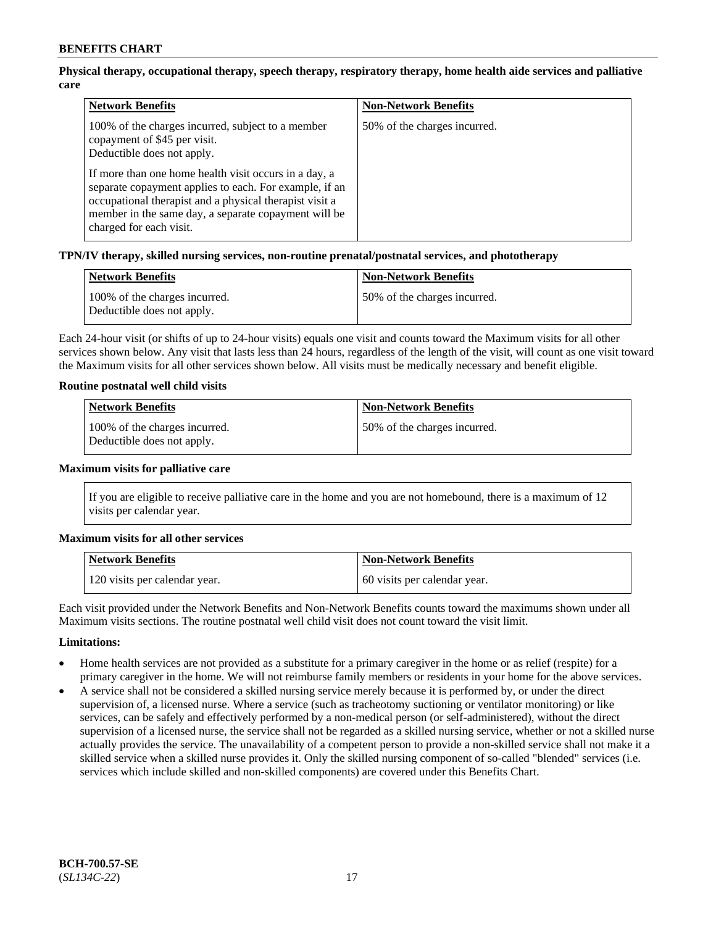## **Physical therapy, occupational therapy, speech therapy, respiratory therapy, home health aide services and palliative care**

| <b>Network Benefits</b>                                                                                                                                                                                                                                                                                                                                                          | <b>Non-Network Benefits</b>  |
|----------------------------------------------------------------------------------------------------------------------------------------------------------------------------------------------------------------------------------------------------------------------------------------------------------------------------------------------------------------------------------|------------------------------|
| 100% of the charges incurred, subject to a member<br>copayment of \$45 per visit.<br>Deductible does not apply.<br>If more than one home health visit occurs in a day, a<br>separate copayment applies to each. For example, if an<br>occupational therapist and a physical therapist visit a<br>member in the same day, a separate copayment will be<br>charged for each visit. | 50% of the charges incurred. |

### **TPN/IV therapy, skilled nursing services, non-routine prenatal/postnatal services, and phototherapy**

| <b>Network Benefits</b>                                     | <b>Non-Network Benefits</b>  |
|-------------------------------------------------------------|------------------------------|
| 100% of the charges incurred.<br>Deductible does not apply. | 50% of the charges incurred. |

Each 24-hour visit (or shifts of up to 24-hour visits) equals one visit and counts toward the Maximum visits for all other services shown below. Any visit that lasts less than 24 hours, regardless of the length of the visit, will count as one visit toward the Maximum visits for all other services shown below. All visits must be medically necessary and benefit eligible.

### **Routine postnatal well child visits**

| <b>Network Benefits</b>                                     | <b>Non-Network Benefits</b>  |
|-------------------------------------------------------------|------------------------------|
| 100% of the charges incurred.<br>Deductible does not apply. | 50% of the charges incurred. |

#### **Maximum visits for palliative care**

If you are eligible to receive palliative care in the home and you are not homebound, there is a maximum of 12 visits per calendar year.

### **Maximum visits for all other services**

| <b>Network Benefits</b>       | <b>Non-Network Benefits</b>  |
|-------------------------------|------------------------------|
| 120 visits per calendar year. | 60 visits per calendar year. |

Each visit provided under the Network Benefits and Non-Network Benefits counts toward the maximums shown under all Maximum visits sections. The routine postnatal well child visit does not count toward the visit limit.

### **Limitations:**

- Home health services are not provided as a substitute for a primary caregiver in the home or as relief (respite) for a primary caregiver in the home. We will not reimburse family members or residents in your home for the above services.
- A service shall not be considered a skilled nursing service merely because it is performed by, or under the direct supervision of, a licensed nurse. Where a service (such as tracheotomy suctioning or ventilator monitoring) or like services, can be safely and effectively performed by a non-medical person (or self-administered), without the direct supervision of a licensed nurse, the service shall not be regarded as a skilled nursing service, whether or not a skilled nurse actually provides the service. The unavailability of a competent person to provide a non-skilled service shall not make it a skilled service when a skilled nurse provides it. Only the skilled nursing component of so-called "blended" services (i.e. services which include skilled and non-skilled components) are covered under this Benefits Chart.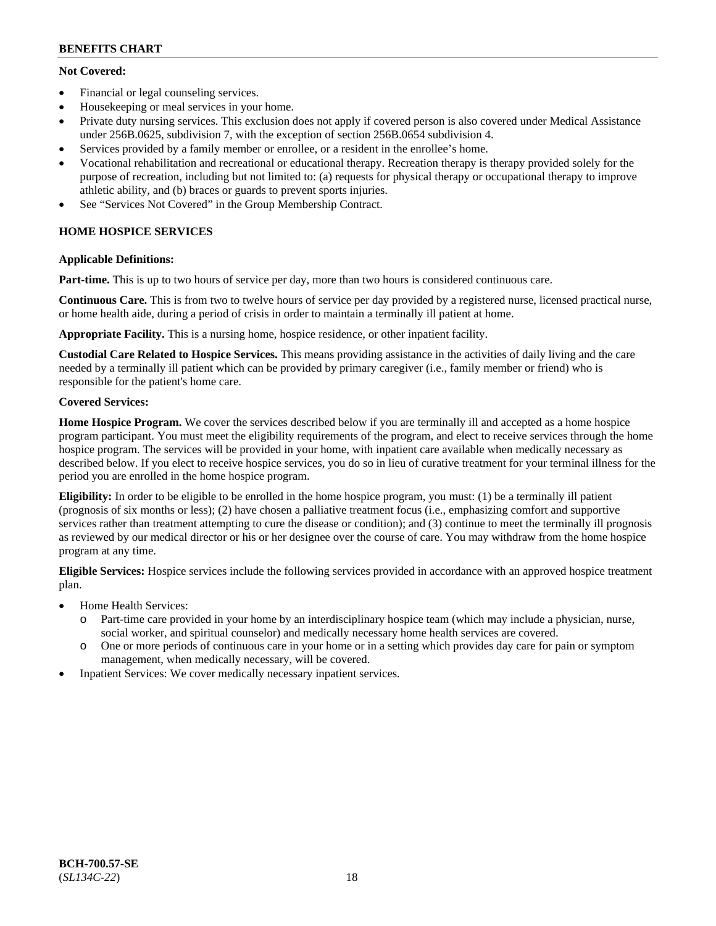## **Not Covered:**

- Financial or legal counseling services.
- Housekeeping or meal services in your home.
- Private duty nursing services. This exclusion does not apply if covered person is also covered under Medical Assistance under 256B.0625, subdivision 7, with the exception of section 256B.0654 subdivision 4.
- Services provided by a family member or enrollee, or a resident in the enrollee's home.
- Vocational rehabilitation and recreational or educational therapy. Recreation therapy is therapy provided solely for the purpose of recreation, including but not limited to: (a) requests for physical therapy or occupational therapy to improve athletic ability, and (b) braces or guards to prevent sports injuries.
- See "Services Not Covered" in the Group Membership Contract.

## **HOME HOSPICE SERVICES**

## **Applicable Definitions:**

**Part-time.** This is up to two hours of service per day, more than two hours is considered continuous care.

**Continuous Care.** This is from two to twelve hours of service per day provided by a registered nurse, licensed practical nurse, or home health aide, during a period of crisis in order to maintain a terminally ill patient at home.

**Appropriate Facility.** This is a nursing home, hospice residence, or other inpatient facility.

**Custodial Care Related to Hospice Services.** This means providing assistance in the activities of daily living and the care needed by a terminally ill patient which can be provided by primary caregiver (i.e., family member or friend) who is responsible for the patient's home care.

## **Covered Services:**

**Home Hospice Program.** We cover the services described below if you are terminally ill and accepted as a home hospice program participant. You must meet the eligibility requirements of the program, and elect to receive services through the home hospice program. The services will be provided in your home, with inpatient care available when medically necessary as described below. If you elect to receive hospice services, you do so in lieu of curative treatment for your terminal illness for the period you are enrolled in the home hospice program.

**Eligibility:** In order to be eligible to be enrolled in the home hospice program, you must: (1) be a terminally ill patient (prognosis of six months or less); (2) have chosen a palliative treatment focus (i.e., emphasizing comfort and supportive services rather than treatment attempting to cure the disease or condition); and (3) continue to meet the terminally ill prognosis as reviewed by our medical director or his or her designee over the course of care. You may withdraw from the home hospice program at any time.

**Eligible Services:** Hospice services include the following services provided in accordance with an approved hospice treatment plan.

- Home Health Services:
	- o Part-time care provided in your home by an interdisciplinary hospice team (which may include a physician, nurse, social worker, and spiritual counselor) and medically necessary home health services are covered.
	- o One or more periods of continuous care in your home or in a setting which provides day care for pain or symptom management, when medically necessary, will be covered.
- Inpatient Services: We cover medically necessary inpatient services.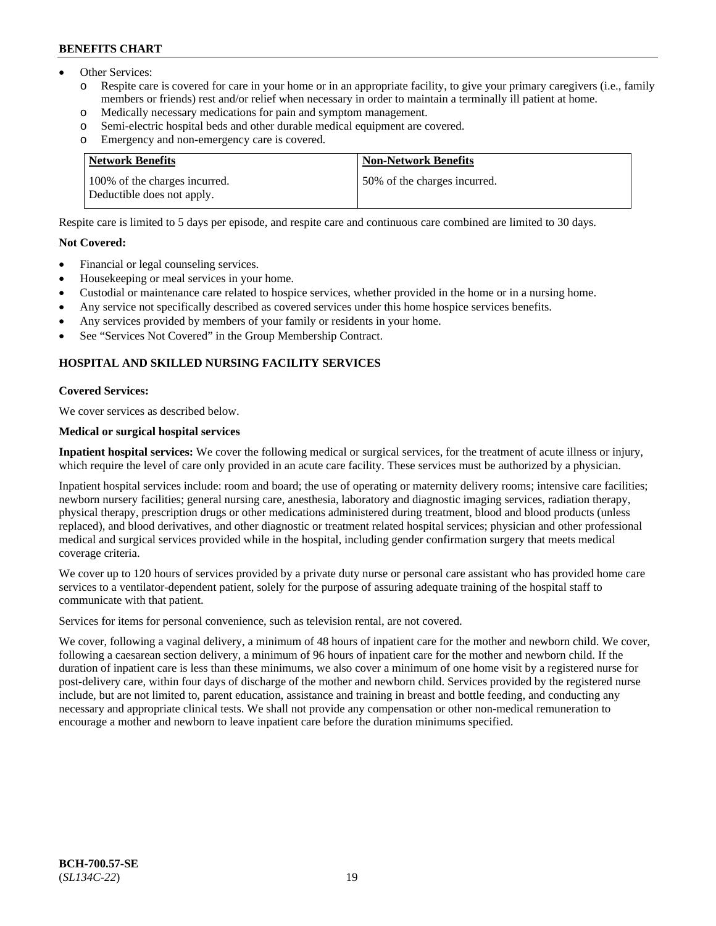- Other Services:
	- Respite care is covered for care in your home or in an appropriate facility, to give your primary caregivers (i.e., family members or friends) rest and/or relief when necessary in order to maintain a terminally ill patient at home.
	- o Medically necessary medications for pain and symptom management.
	- o Semi-electric hospital beds and other durable medical equipment are covered.
	- Emergency and non-emergency care is covered.

| <b>Network Benefits</b>                                     | <b>Non-Network Benefits</b>  |
|-------------------------------------------------------------|------------------------------|
| 100% of the charges incurred.<br>Deductible does not apply. | 50% of the charges incurred. |

Respite care is limited to 5 days per episode, and respite care and continuous care combined are limited to 30 days.

### **Not Covered:**

- Financial or legal counseling services.
- Housekeeping or meal services in your home.
- Custodial or maintenance care related to hospice services, whether provided in the home or in a nursing home.
- Any service not specifically described as covered services under this home hospice services benefits.
- Any services provided by members of your family or residents in your home.
- See "Services Not Covered" in the Group Membership Contract.

## **HOSPITAL AND SKILLED NURSING FACILITY SERVICES**

#### **Covered Services:**

We cover services as described below.

#### **Medical or surgical hospital services**

**Inpatient hospital services:** We cover the following medical or surgical services, for the treatment of acute illness or injury, which require the level of care only provided in an acute care facility. These services must be authorized by a physician.

Inpatient hospital services include: room and board; the use of operating or maternity delivery rooms; intensive care facilities; newborn nursery facilities; general nursing care, anesthesia, laboratory and diagnostic imaging services, radiation therapy, physical therapy, prescription drugs or other medications administered during treatment, blood and blood products (unless replaced), and blood derivatives, and other diagnostic or treatment related hospital services; physician and other professional medical and surgical services provided while in the hospital, including gender confirmation surgery that meets medical coverage criteria.

We cover up to 120 hours of services provided by a private duty nurse or personal care assistant who has provided home care services to a ventilator-dependent patient, solely for the purpose of assuring adequate training of the hospital staff to communicate with that patient.

Services for items for personal convenience, such as television rental, are not covered.

We cover, following a vaginal delivery, a minimum of 48 hours of inpatient care for the mother and newborn child. We cover, following a caesarean section delivery, a minimum of 96 hours of inpatient care for the mother and newborn child. If the duration of inpatient care is less than these minimums, we also cover a minimum of one home visit by a registered nurse for post-delivery care, within four days of discharge of the mother and newborn child. Services provided by the registered nurse include, but are not limited to, parent education, assistance and training in breast and bottle feeding, and conducting any necessary and appropriate clinical tests. We shall not provide any compensation or other non-medical remuneration to encourage a mother and newborn to leave inpatient care before the duration minimums specified.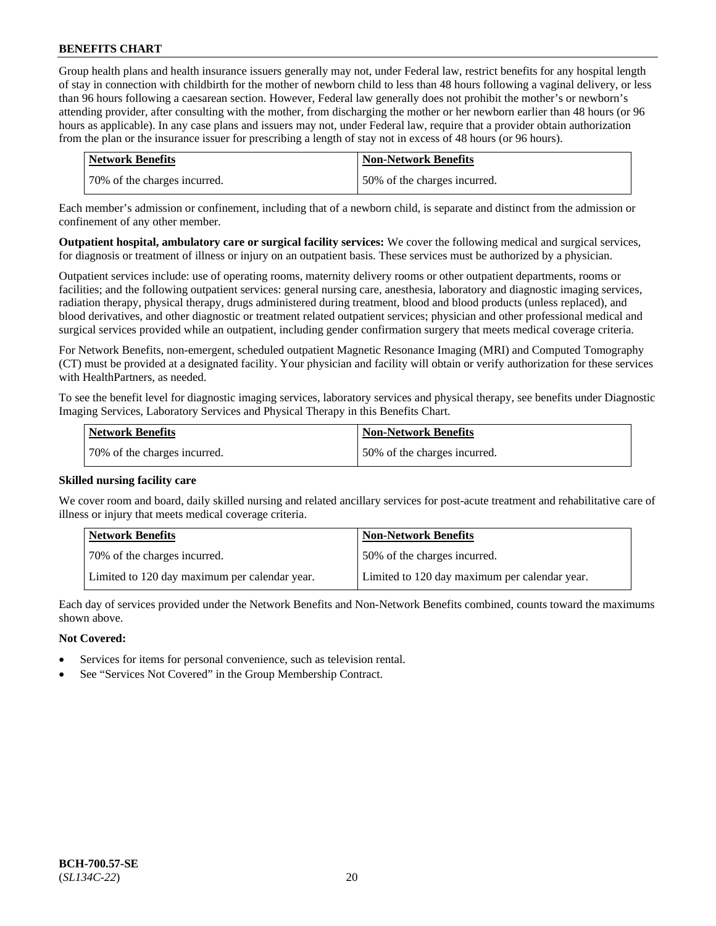Group health plans and health insurance issuers generally may not, under Federal law, restrict benefits for any hospital length of stay in connection with childbirth for the mother of newborn child to less than 48 hours following a vaginal delivery, or less than 96 hours following a caesarean section. However, Federal law generally does not prohibit the mother's or newborn's attending provider, after consulting with the mother, from discharging the mother or her newborn earlier than 48 hours (or 96 hours as applicable). In any case plans and issuers may not, under Federal law, require that a provider obtain authorization from the plan or the insurance issuer for prescribing a length of stay not in excess of 48 hours (or 96 hours).

| <b>Network Benefits</b>      | <b>Non-Network Benefits</b>  |
|------------------------------|------------------------------|
| 70% of the charges incurred. | 50% of the charges incurred. |

Each member's admission or confinement, including that of a newborn child, is separate and distinct from the admission or confinement of any other member.

**Outpatient hospital, ambulatory care or surgical facility services:** We cover the following medical and surgical services, for diagnosis or treatment of illness or injury on an outpatient basis. These services must be authorized by a physician.

Outpatient services include: use of operating rooms, maternity delivery rooms or other outpatient departments, rooms or facilities; and the following outpatient services: general nursing care, anesthesia, laboratory and diagnostic imaging services, radiation therapy, physical therapy, drugs administered during treatment, blood and blood products (unless replaced), and blood derivatives, and other diagnostic or treatment related outpatient services; physician and other professional medical and surgical services provided while an outpatient, including gender confirmation surgery that meets medical coverage criteria.

For Network Benefits, non-emergent, scheduled outpatient Magnetic Resonance Imaging (MRI) and Computed Tomography (CT) must be provided at a designated facility. Your physician and facility will obtain or verify authorization for these services with HealthPartners, as needed.

To see the benefit level for diagnostic imaging services, laboratory services and physical therapy, see benefits under Diagnostic Imaging Services, Laboratory Services and Physical Therapy in this Benefits Chart.

| <b>Network Benefits</b>       | Non-Network Benefits         |
|-------------------------------|------------------------------|
| 170% of the charges incurred. | 50% of the charges incurred. |

### **Skilled nursing facility care**

We cover room and board, daily skilled nursing and related ancillary services for post-acute treatment and rehabilitative care of illness or injury that meets medical coverage criteria.

| Network Benefits                              | <b>Non-Network Benefits</b>                   |
|-----------------------------------------------|-----------------------------------------------|
| 70% of the charges incurred.                  | 50% of the charges incurred.                  |
| Limited to 120 day maximum per calendar year. | Limited to 120 day maximum per calendar year. |

Each day of services provided under the Network Benefits and Non-Network Benefits combined, counts toward the maximums shown above.

### **Not Covered:**

- Services for items for personal convenience, such as television rental.
- See "Services Not Covered" in the Group Membership Contract.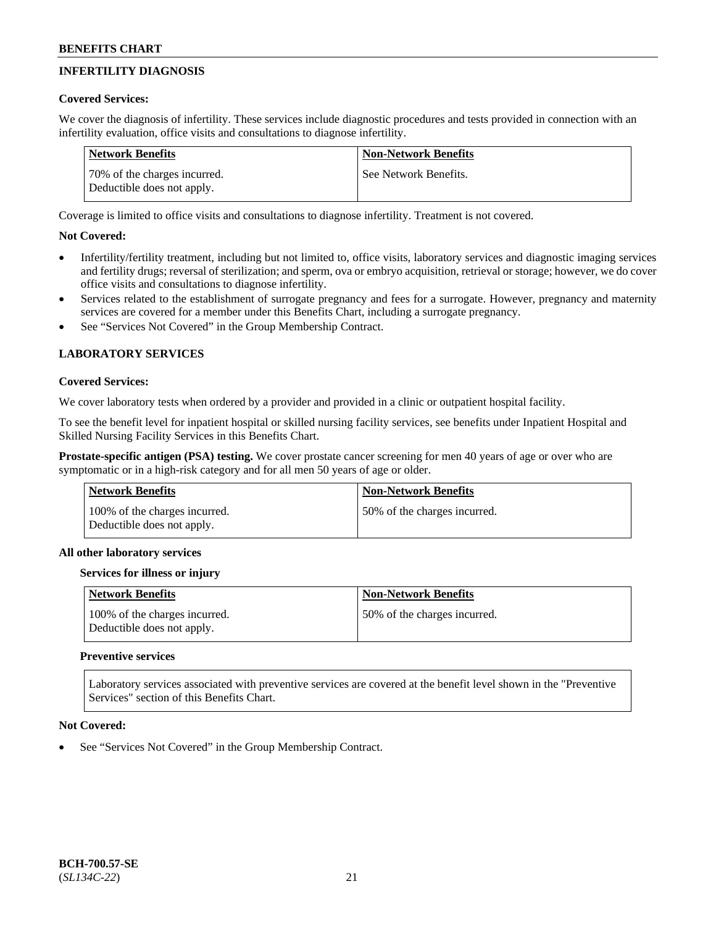## **INFERTILITY DIAGNOSIS**

### **Covered Services:**

We cover the diagnosis of infertility. These services include diagnostic procedures and tests provided in connection with an infertility evaluation, office visits and consultations to diagnose infertility.

| Network Benefits                                           | <b>Non-Network Benefits</b> |
|------------------------------------------------------------|-----------------------------|
| 70% of the charges incurred.<br>Deductible does not apply. | See Network Benefits.       |

Coverage is limited to office visits and consultations to diagnose infertility. Treatment is not covered.

## **Not Covered:**

- Infertility/fertility treatment, including but not limited to, office visits, laboratory services and diagnostic imaging services and fertility drugs; reversal of sterilization; and sperm, ova or embryo acquisition, retrieval or storage; however, we do cover office visits and consultations to diagnose infertility.
- Services related to the establishment of surrogate pregnancy and fees for a surrogate. However, pregnancy and maternity services are covered for a member under this Benefits Chart, including a surrogate pregnancy.
- See "Services Not Covered" in the Group Membership Contract.

## **LABORATORY SERVICES**

#### **Covered Services:**

We cover laboratory tests when ordered by a provider and provided in a clinic or outpatient hospital facility.

To see the benefit level for inpatient hospital or skilled nursing facility services, see benefits under Inpatient Hospital and Skilled Nursing Facility Services in this Benefits Chart.

**Prostate-specific antigen (PSA) testing.** We cover prostate cancer screening for men 40 years of age or over who are symptomatic or in a high-risk category and for all men 50 years of age or older.

| Network Benefits                                            | <b>Non-Network Benefits</b>  |
|-------------------------------------------------------------|------------------------------|
| 100% of the charges incurred.<br>Deductible does not apply. | 50% of the charges incurred. |

### **All other laboratory services**

### **Services for illness or injury**

| Network Benefits                                            | <b>Non-Network Benefits</b>  |
|-------------------------------------------------------------|------------------------------|
| 100% of the charges incurred.<br>Deductible does not apply. | 50% of the charges incurred. |

### **Preventive services**

Laboratory services associated with preventive services are covered at the benefit level shown in the "Preventive Services" section of this Benefits Chart.

### **Not Covered:**

See "Services Not Covered" in the Group Membership Contract.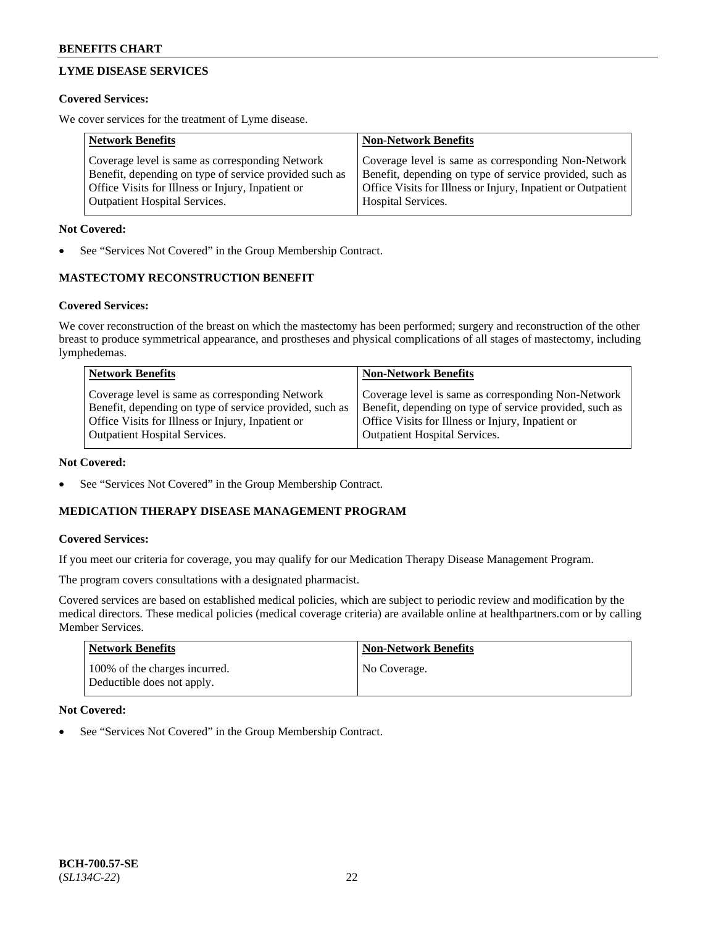## **LYME DISEASE SERVICES**

#### **Covered Services:**

We cover services for the treatment of Lyme disease.

| <b>Network Benefits</b>                                | <b>Non-Network Benefits</b>                                  |
|--------------------------------------------------------|--------------------------------------------------------------|
| Coverage level is same as corresponding Network        | Coverage level is same as corresponding Non-Network          |
| Benefit, depending on type of service provided such as | Benefit, depending on type of service provided, such as      |
| Office Visits for Illness or Injury, Inpatient or      | Office Visits for Illness or Injury, Inpatient or Outpatient |
| <b>Outpatient Hospital Services.</b>                   | Hospital Services.                                           |

#### **Not Covered:**

See "Services Not Covered" in the Group Membership Contract.

### **MASTECTOMY RECONSTRUCTION BENEFIT**

#### **Covered Services:**

We cover reconstruction of the breast on which the mastectomy has been performed; surgery and reconstruction of the other breast to produce symmetrical appearance, and prostheses and physical complications of all stages of mastectomy, including lymphedemas.

| <b>Network Benefits</b>                                 | <b>Non-Network Benefits</b>                             |
|---------------------------------------------------------|---------------------------------------------------------|
| Coverage level is same as corresponding Network         | Coverage level is same as corresponding Non-Network     |
| Benefit, depending on type of service provided, such as | Benefit, depending on type of service provided, such as |
| Office Visits for Illness or Injury, Inpatient or       | Office Visits for Illness or Injury, Inpatient or       |
| <b>Outpatient Hospital Services.</b>                    | <b>Outpatient Hospital Services.</b>                    |

#### **Not Covered:**

See "Services Not Covered" in the Group Membership Contract.

### **MEDICATION THERAPY DISEASE MANAGEMENT PROGRAM**

#### **Covered Services:**

If you meet our criteria for coverage, you may qualify for our Medication Therapy Disease Management Program.

The program covers consultations with a designated pharmacist.

Covered services are based on established medical policies, which are subject to periodic review and modification by the medical directors. These medical policies (medical coverage criteria) are available online at [healthpartners.com](https://www.healthpartners.com/hp/index.html) or by calling Member Services.

| <b>Network Benefits</b>                                     | Non-Network Benefits |
|-------------------------------------------------------------|----------------------|
| 100% of the charges incurred.<br>Deductible does not apply. | No Coverage.         |

### **Not Covered:**

See "Services Not Covered" in the Group Membership Contract.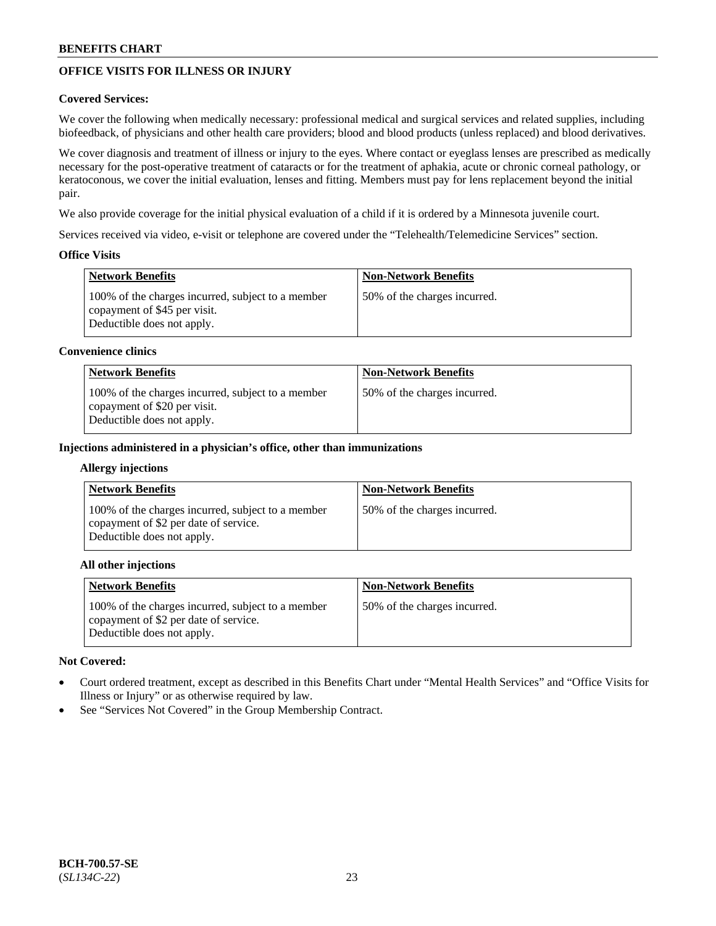## **OFFICE VISITS FOR ILLNESS OR INJURY**

### **Covered Services:**

We cover the following when medically necessary: professional medical and surgical services and related supplies, including biofeedback, of physicians and other health care providers; blood and blood products (unless replaced) and blood derivatives.

We cover diagnosis and treatment of illness or injury to the eyes. Where contact or eyeglass lenses are prescribed as medically necessary for the post-operative treatment of cataracts or for the treatment of aphakia, acute or chronic corneal pathology, or keratoconous, we cover the initial evaluation, lenses and fitting. Members must pay for lens replacement beyond the initial pair.

We also provide coverage for the initial physical evaluation of a child if it is ordered by a Minnesota juvenile court.

Services received via video, e-visit or telephone are covered under the "Telehealth/Telemedicine Services" section.

### **Office Visits**

| Network Benefits                                                                                                | <b>Non-Network Benefits</b>  |
|-----------------------------------------------------------------------------------------------------------------|------------------------------|
| 100% of the charges incurred, subject to a member<br>copayment of \$45 per visit.<br>Deductible does not apply. | 50% of the charges incurred. |

#### **Convenience clinics**

| <b>Network Benefits</b>                                                                                         | <b>Non-Network Benefits</b>   |
|-----------------------------------------------------------------------------------------------------------------|-------------------------------|
| 100% of the charges incurred, subject to a member<br>copayment of \$20 per visit.<br>Deductible does not apply. | 150% of the charges incurred. |

#### **Injections administered in a physician's office, other than immunizations**

#### **Allergy injections**

| <b>Network Benefits</b>                                                                                                  | <b>Non-Network Benefits</b>  |
|--------------------------------------------------------------------------------------------------------------------------|------------------------------|
| 100% of the charges incurred, subject to a member<br>copayment of \$2 per date of service.<br>Deductible does not apply. | 50% of the charges incurred. |

#### **All other injections**

| <b>Network Benefits</b>                                                                                                  | <b>Non-Network Benefits</b>  |
|--------------------------------------------------------------------------------------------------------------------------|------------------------------|
| 100% of the charges incurred, subject to a member<br>copayment of \$2 per date of service.<br>Deductible does not apply. | 50% of the charges incurred. |

### **Not Covered:**

- Court ordered treatment, except as described in this Benefits Chart under "Mental Health Services" and "Office Visits for Illness or Injury" or as otherwise required by law.
- See "Services Not Covered" in the Group Membership Contract.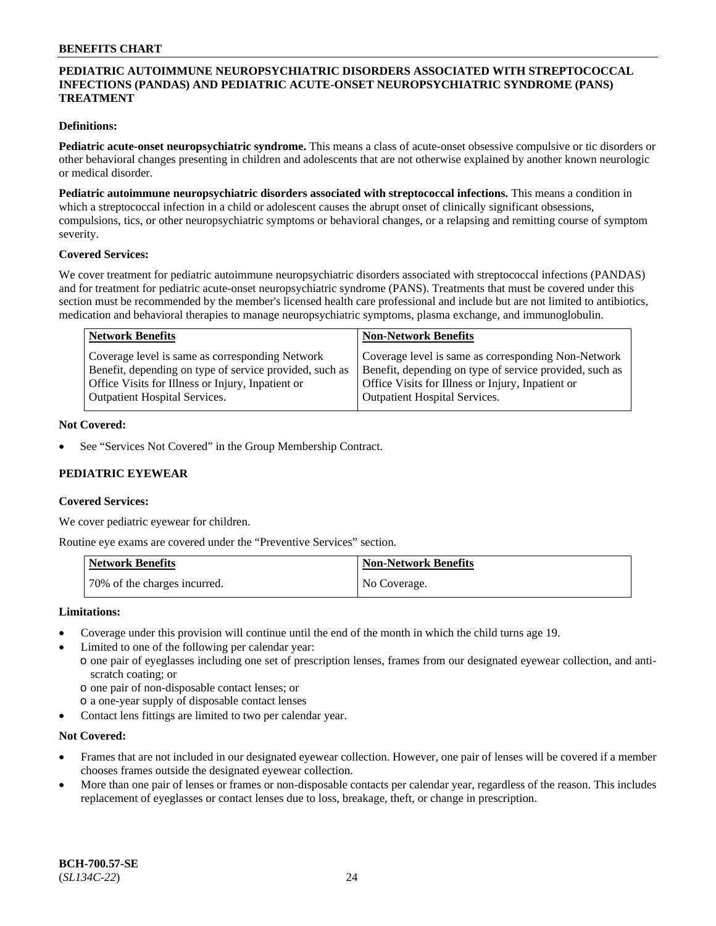### **PEDIATRIC AUTOIMMUNE NEUROPSYCHIATRIC DISORDERS ASSOCIATED WITH STREPTOCOCCAL INFECTIONS (PANDAS) AND PEDIATRIC ACUTE-ONSET NEUROPSYCHIATRIC SYNDROME (PANS) TREATMENT**

### **Definitions:**

**Pediatric acute-onset neuropsychiatric syndrome.** This means a class of acute-onset obsessive compulsive or tic disorders or other behavioral changes presenting in children and adolescents that are not otherwise explained by another known neurologic or medical disorder.

**Pediatric autoimmune neuropsychiatric disorders associated with streptococcal infections.** This means a condition in which a streptococcal infection in a child or adolescent causes the abrupt onset of clinically significant obsessions, compulsions, tics, or other neuropsychiatric symptoms or behavioral changes, or a relapsing and remitting course of symptom severity.

#### **Covered Services:**

We cover treatment for pediatric autoimmune neuropsychiatric disorders associated with streptococcal infections (PANDAS) and for treatment for pediatric acute-onset neuropsychiatric syndrome (PANS). Treatments that must be covered under this section must be recommended by the member's licensed health care professional and include but are not limited to antibiotics, medication and behavioral therapies to manage neuropsychiatric symptoms, plasma exchange, and immunoglobulin.

| <b>Network Benefits</b>                                 | <b>Non-Network Benefits</b>                             |
|---------------------------------------------------------|---------------------------------------------------------|
| Coverage level is same as corresponding Network         | Coverage level is same as corresponding Non-Network     |
| Benefit, depending on type of service provided, such as | Benefit, depending on type of service provided, such as |
| Office Visits for Illness or Injury, Inpatient or       | Office Visits for Illness or Injury, Inpatient or       |
| <b>Outpatient Hospital Services.</b>                    | <b>Outpatient Hospital Services.</b>                    |

#### **Not Covered:**

See "Services Not Covered" in the Group Membership Contract.

### **PEDIATRIC EYEWEAR**

#### **Covered Services:**

We cover pediatric eyewear for children.

Routine eye exams are covered under the "Preventive Services" section.

| Network Benefits             | Non-Network Benefits |
|------------------------------|----------------------|
| 70% of the charges incurred. | No Coverage.         |

#### **Limitations:**

- Coverage under this provision will continue until the end of the month in which the child turns age 19.
- Limited to one of the following per calendar year:
- o one pair of eyeglasses including one set of prescription lenses, frames from our designated eyewear collection, and antiscratch coating; or
	- o one pair of non-disposable contact lenses; or
	- o a one-year supply of disposable contact lenses
- Contact lens fittings are limited to two per calendar year.

### **Not Covered:**

- Frames that are not included in our designated eyewear collection. However, one pair of lenses will be covered if a member chooses frames outside the designated eyewear collection.
- More than one pair of lenses or frames or non-disposable contacts per calendar year, regardless of the reason. This includes replacement of eyeglasses or contact lenses due to loss, breakage, theft, or change in prescription.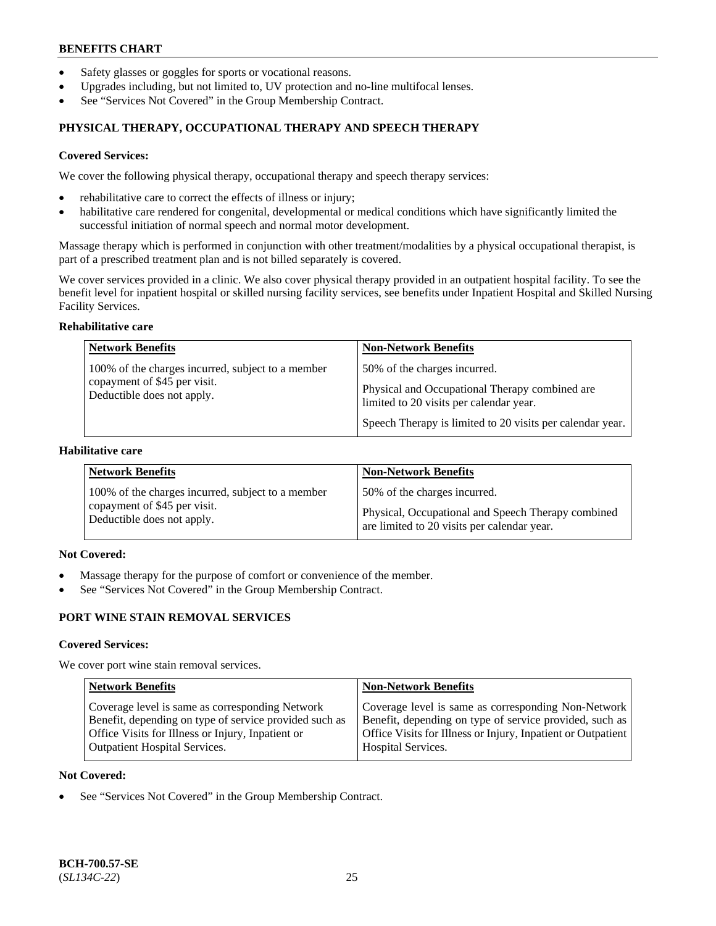- Safety glasses or goggles for sports or vocational reasons.
- Upgrades including, but not limited to, UV protection and no-line multifocal lenses.
- See "Services Not Covered" in the Group Membership Contract.

## **PHYSICAL THERAPY, OCCUPATIONAL THERAPY AND SPEECH THERAPY**

#### **Covered Services:**

We cover the following physical therapy, occupational therapy and speech therapy services:

- rehabilitative care to correct the effects of illness or injury;
- habilitative care rendered for congenital, developmental or medical conditions which have significantly limited the successful initiation of normal speech and normal motor development.

Massage therapy which is performed in conjunction with other treatment/modalities by a physical occupational therapist, is part of a prescribed treatment plan and is not billed separately is covered.

We cover services provided in a clinic. We also cover physical therapy provided in an outpatient hospital facility. To see the benefit level for inpatient hospital or skilled nursing facility services, see benefits under Inpatient Hospital and Skilled Nursing Facility Services.

#### **Rehabilitative care**

| <b>Network Benefits</b>                                                                                         | <b>Non-Network Benefits</b>                                                                                                                                                            |
|-----------------------------------------------------------------------------------------------------------------|----------------------------------------------------------------------------------------------------------------------------------------------------------------------------------------|
| 100% of the charges incurred, subject to a member<br>copayment of \$45 per visit.<br>Deductible does not apply. | 50% of the charges incurred.<br>Physical and Occupational Therapy combined are<br>limited to 20 visits per calendar year.<br>Speech Therapy is limited to 20 visits per calendar year. |

### **Habilitative care**

| <b>Network Benefits</b>                           | <b>Non-Network Benefits</b>                        |
|---------------------------------------------------|----------------------------------------------------|
| 100% of the charges incurred, subject to a member | 50% of the charges incurred.                       |
| copayment of \$45 per visit.                      | Physical, Occupational and Speech Therapy combined |
| Deductible does not apply.                        | are limited to 20 visits per calendar year.        |

## **Not Covered:**

- Massage therapy for the purpose of comfort or convenience of the member.
- See "Services Not Covered" in the Group Membership Contract.

## **PORT WINE STAIN REMOVAL SERVICES**

#### **Covered Services:**

We cover port wine stain removal services.

| <b>Network Benefits</b>                                | <b>Non-Network Benefits</b>                                  |
|--------------------------------------------------------|--------------------------------------------------------------|
| Coverage level is same as corresponding Network        | Coverage level is same as corresponding Non-Network          |
| Benefit, depending on type of service provided such as | Benefit, depending on type of service provided, such as      |
| Office Visits for Illness or Injury, Inpatient or      | Office Visits for Illness or Injury, Inpatient or Outpatient |
| <b>Outpatient Hospital Services.</b>                   | Hospital Services.                                           |

#### **Not Covered:**

See "Services Not Covered" in the Group Membership Contract.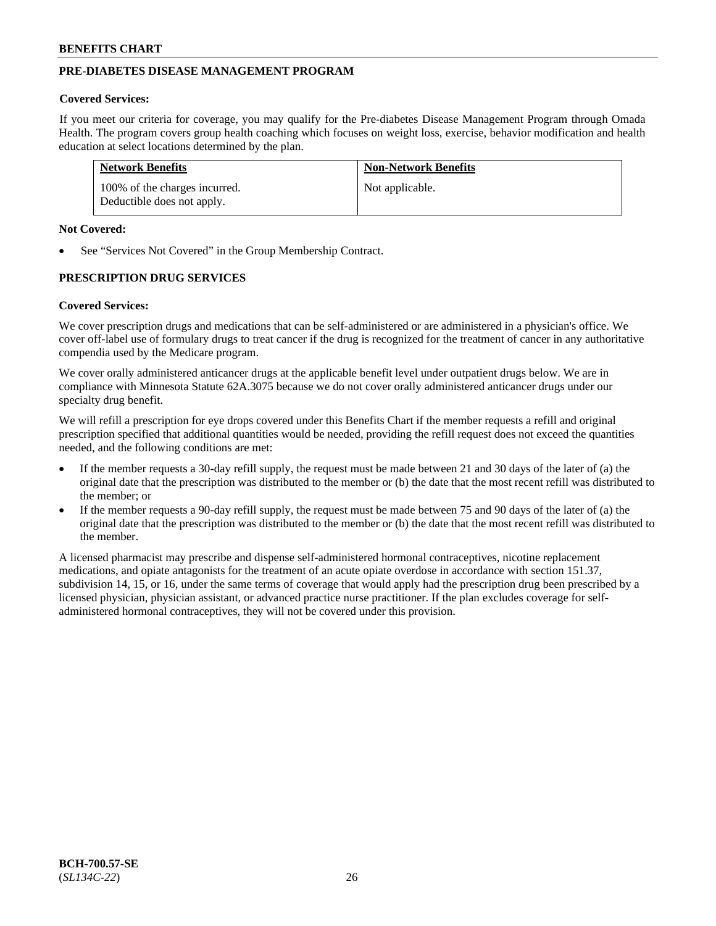## **PRE-DIABETES DISEASE MANAGEMENT PROGRAM**

#### **Covered Services:**

If you meet our criteria for coverage, you may qualify for the Pre-diabetes Disease Management Program through Omada Health. The program covers group health coaching which focuses on weight loss, exercise, behavior modification and health education at select locations determined by the plan.

| <b>Network Benefits</b>                                     | <b>Non-Network Benefits</b> |
|-------------------------------------------------------------|-----------------------------|
| 100% of the charges incurred.<br>Deductible does not apply. | Not applicable.             |

#### **Not Covered:**

See "Services Not Covered" in the Group Membership Contract.

### **PRESCRIPTION DRUG SERVICES**

#### **Covered Services:**

We cover prescription drugs and medications that can be self-administered or are administered in a physician's office. We cover off-label use of formulary drugs to treat cancer if the drug is recognized for the treatment of cancer in any authoritative compendia used by the Medicare program.

We cover orally administered anticancer drugs at the applicable benefit level under outpatient drugs below. We are in compliance with Minnesota Statute 62A.3075 because we do not cover orally administered anticancer drugs under our specialty drug benefit.

We will refill a prescription for eye drops covered under this Benefits Chart if the member requests a refill and original prescription specified that additional quantities would be needed, providing the refill request does not exceed the quantities needed, and the following conditions are met:

- If the member requests a 30-day refill supply, the request must be made between 21 and 30 days of the later of (a) the original date that the prescription was distributed to the member or (b) the date that the most recent refill was distributed to the member; or
- If the member requests a 90-day refill supply, the request must be made between 75 and 90 days of the later of (a) the original date that the prescription was distributed to the member or (b) the date that the most recent refill was distributed to the member.

A licensed pharmacist may prescribe and dispense self-administered hormonal contraceptives, nicotine replacement medications, and opiate antagonists for the treatment of an acute opiate overdose in accordance with section 151.37, subdivision 14, 15, or 16, under the same terms of coverage that would apply had the prescription drug been prescribed by a licensed physician, physician assistant, or advanced practice nurse practitioner. If the plan excludes coverage for selfadministered hormonal contraceptives, they will not be covered under this provision.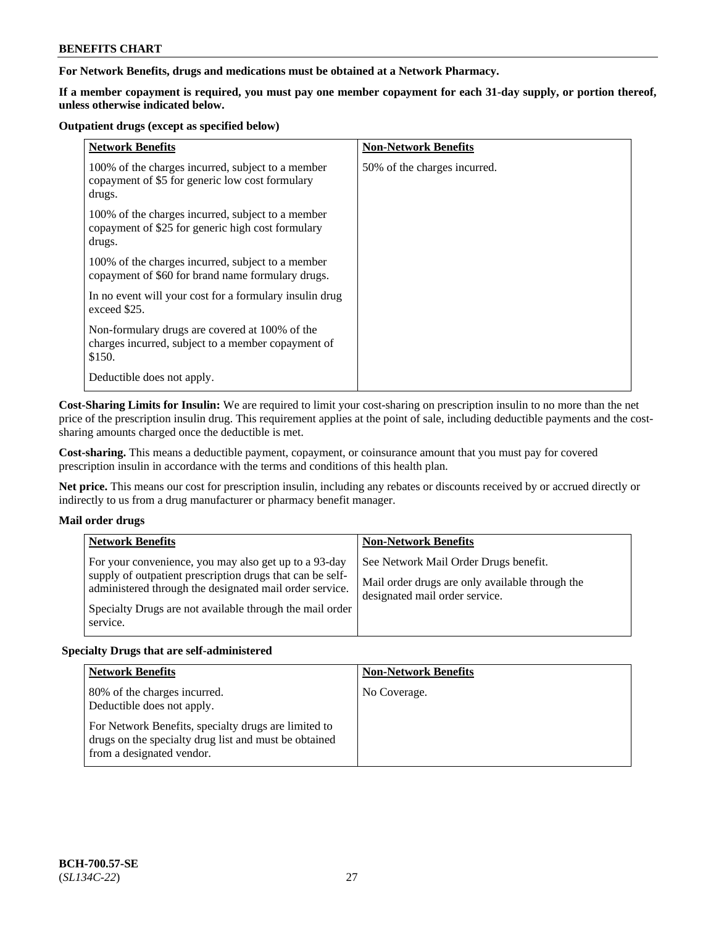### **For Network Benefits, drugs and medications must be obtained at a Network Pharmacy.**

**If a member copayment is required, you must pay one member copayment for each 31-day supply, or portion thereof, unless otherwise indicated below.**

#### **Outpatient drugs (except as specified below)**

| <b>Network Benefits</b>                                                                                          | <b>Non-Network Benefits</b>  |
|------------------------------------------------------------------------------------------------------------------|------------------------------|
| 100% of the charges incurred, subject to a member<br>copayment of \$5 for generic low cost formulary<br>drugs.   | 50% of the charges incurred. |
| 100% of the charges incurred, subject to a member<br>copayment of \$25 for generic high cost formulary<br>drugs. |                              |
| 100% of the charges incurred, subject to a member<br>copayment of \$60 for brand name formulary drugs.           |                              |
| In no event will your cost for a formulary insulin drug<br>exceed \$25.                                          |                              |
| Non-formulary drugs are covered at 100% of the<br>charges incurred, subject to a member copayment of<br>\$150.   |                              |
| Deductible does not apply.                                                                                       |                              |

**Cost-Sharing Limits for Insulin:** We are required to limit your cost-sharing on prescription insulin to no more than the net price of the prescription insulin drug. This requirement applies at the point of sale, including deductible payments and the costsharing amounts charged once the deductible is met.

**Cost-sharing.** This means a deductible payment, copayment, or coinsurance amount that you must pay for covered prescription insulin in accordance with the terms and conditions of this health plan.

**Net price.** This means our cost for prescription insulin, including any rebates or discounts received by or accrued directly or indirectly to us from a drug manufacturer or pharmacy benefit manager.

### **Mail order drugs**

| <b>Network Benefits</b>                                                                                                                                                                                                                               | <b>Non-Network Benefits</b>                                                                                                |
|-------------------------------------------------------------------------------------------------------------------------------------------------------------------------------------------------------------------------------------------------------|----------------------------------------------------------------------------------------------------------------------------|
| For your convenience, you may also get up to a 93-day<br>supply of outpatient prescription drugs that can be self-<br>administered through the designated mail order service.<br>Specialty Drugs are not available through the mail order<br>service. | See Network Mail Order Drugs benefit.<br>Mail order drugs are only available through the<br>designated mail order service. |

### **Specialty Drugs that are self-administered**

| <b>Network Benefits</b>                                                                                                                    | <b>Non-Network Benefits</b> |
|--------------------------------------------------------------------------------------------------------------------------------------------|-----------------------------|
| 80% of the charges incurred.<br>Deductible does not apply.                                                                                 | No Coverage.                |
| For Network Benefits, specialty drugs are limited to<br>drugs on the specialty drug list and must be obtained<br>from a designated vendor. |                             |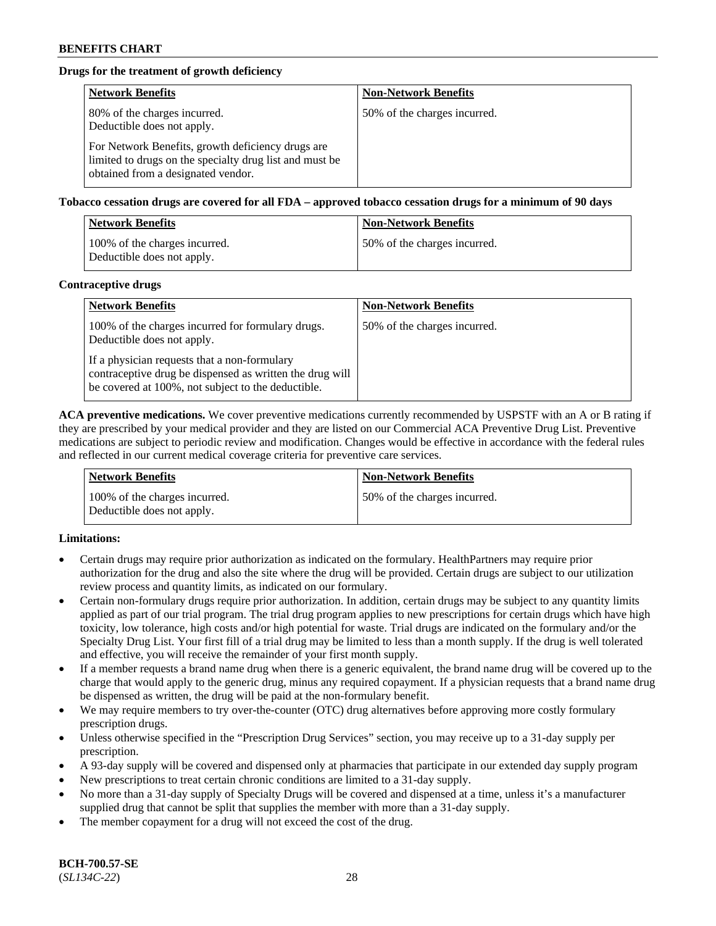## **Drugs for the treatment of growth deficiency**

| <b>Network Benefits</b>                                                                                                                            | <b>Non-Network Benefits</b>  |
|----------------------------------------------------------------------------------------------------------------------------------------------------|------------------------------|
| 80% of the charges incurred.<br>Deductible does not apply.                                                                                         | 50% of the charges incurred. |
| For Network Benefits, growth deficiency drugs are<br>limited to drugs on the specialty drug list and must be<br>obtained from a designated vendor. |                              |

**Tobacco cessation drugs are covered for all FDA – approved tobacco cessation drugs for a minimum of 90 days**

| <b>Network Benefits</b>                                     | <b>Non-Network Benefits</b>  |
|-------------------------------------------------------------|------------------------------|
| 100% of the charges incurred.<br>Deductible does not apply. | 50% of the charges incurred. |

#### **Contraceptive drugs**

| <b>Network Benefits</b>                                                                                                                                        | <b>Non-Network Benefits</b>  |
|----------------------------------------------------------------------------------------------------------------------------------------------------------------|------------------------------|
| 100% of the charges incurred for formulary drugs.<br>Deductible does not apply.                                                                                | 50% of the charges incurred. |
| If a physician requests that a non-formulary<br>contraceptive drug be dispensed as written the drug will<br>be covered at 100%, not subject to the deductible. |                              |

**ACA preventive medications.** We cover preventive medications currently recommended by USPSTF with an A or B rating if they are prescribed by your medical provider and they are listed on our Commercial ACA Preventive Drug List. Preventive medications are subject to periodic review and modification. Changes would be effective in accordance with the federal rules and reflected in our current medical coverage criteria for preventive care services.

| <b>Network Benefits</b>                                     | <b>Non-Network Benefits</b>   |
|-------------------------------------------------------------|-------------------------------|
| 100% of the charges incurred.<br>Deductible does not apply. | 150% of the charges incurred. |

### **Limitations:**

- Certain drugs may require prior authorization as indicated on the formulary. HealthPartners may require prior authorization for the drug and also the site where the drug will be provided. Certain drugs are subject to our utilization review process and quantity limits, as indicated on our formulary.
- Certain non-formulary drugs require prior authorization. In addition, certain drugs may be subject to any quantity limits applied as part of our trial program. The trial drug program applies to new prescriptions for certain drugs which have high toxicity, low tolerance, high costs and/or high potential for waste. Trial drugs are indicated on the formulary and/or the Specialty Drug List. Your first fill of a trial drug may be limited to less than a month supply. If the drug is well tolerated and effective, you will receive the remainder of your first month supply.
- If a member requests a brand name drug when there is a generic equivalent, the brand name drug will be covered up to the charge that would apply to the generic drug, minus any required copayment. If a physician requests that a brand name drug be dispensed as written, the drug will be paid at the non-formulary benefit.
- We may require members to try over-the-counter (OTC) drug alternatives before approving more costly formulary prescription drugs.
- Unless otherwise specified in the "Prescription Drug Services" section, you may receive up to a 31-day supply per prescription.
- A 93-day supply will be covered and dispensed only at pharmacies that participate in our extended day supply program
- New prescriptions to treat certain chronic conditions are limited to a 31-day supply.
- No more than a 31-day supply of Specialty Drugs will be covered and dispensed at a time, unless it's a manufacturer supplied drug that cannot be split that supplies the member with more than a 31-day supply.
- The member copayment for a drug will not exceed the cost of the drug.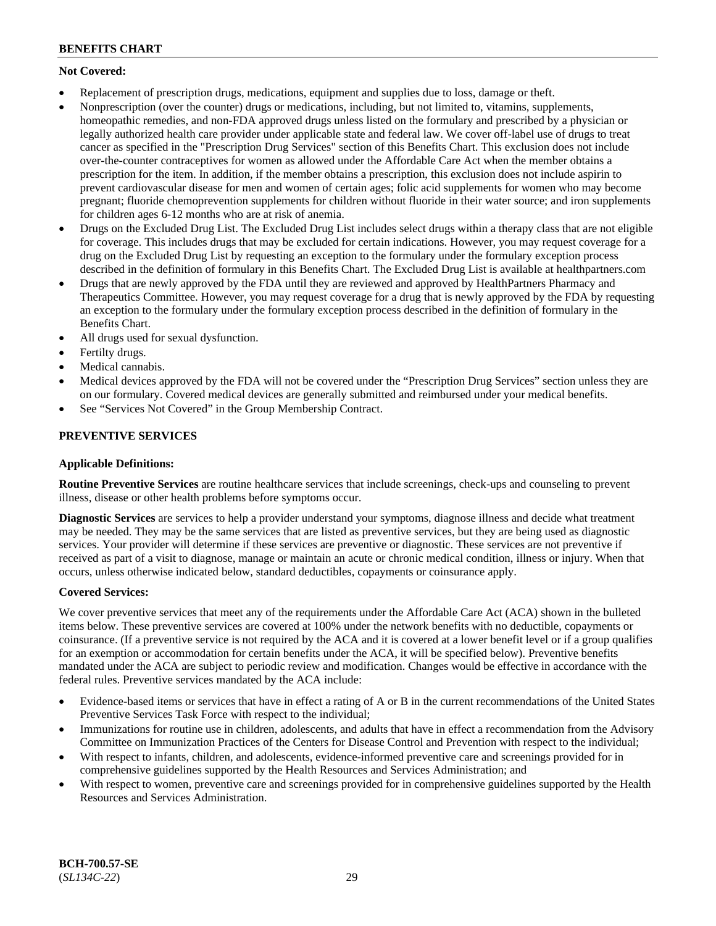## **Not Covered:**

- Replacement of prescription drugs, medications, equipment and supplies due to loss, damage or theft.
- Nonprescription (over the counter) drugs or medications, including, but not limited to, vitamins, supplements, homeopathic remedies, and non-FDA approved drugs unless listed on the formulary and prescribed by a physician or legally authorized health care provider under applicable state and federal law. We cover off-label use of drugs to treat cancer as specified in the "Prescription Drug Services" section of this Benefits Chart. This exclusion does not include over-the-counter contraceptives for women as allowed under the Affordable Care Act when the member obtains a prescription for the item. In addition, if the member obtains a prescription, this exclusion does not include aspirin to prevent cardiovascular disease for men and women of certain ages; folic acid supplements for women who may become pregnant; fluoride chemoprevention supplements for children without fluoride in their water source; and iron supplements for children ages 6-12 months who are at risk of anemia.
- Drugs on the Excluded Drug List. The Excluded Drug List includes select drugs within a therapy class that are not eligible for coverage. This includes drugs that may be excluded for certain indications. However, you may request coverage for a drug on the Excluded Drug List by requesting an exception to the formulary under the formulary exception process described in the definition of formulary in this Benefits Chart. The Excluded Drug List is available at [healthpartners.com](http://www.healthpartners.com/)
- Drugs that are newly approved by the FDA until they are reviewed and approved by HealthPartners Pharmacy and Therapeutics Committee. However, you may request coverage for a drug that is newly approved by the FDA by requesting an exception to the formulary under the formulary exception process described in the definition of formulary in the Benefits Chart.
- All drugs used for sexual dysfunction.
- Fertilty drugs.
- Medical cannabis.
- Medical devices approved by the FDA will not be covered under the "Prescription Drug Services" section unless they are on our formulary. Covered medical devices are generally submitted and reimbursed under your medical benefits.
- See "Services Not Covered" in the Group Membership Contract.

## **PREVENTIVE SERVICES**

### **Applicable Definitions:**

**Routine Preventive Services** are routine healthcare services that include screenings, check-ups and counseling to prevent illness, disease or other health problems before symptoms occur.

**Diagnostic Services** are services to help a provider understand your symptoms, diagnose illness and decide what treatment may be needed. They may be the same services that are listed as preventive services, but they are being used as diagnostic services. Your provider will determine if these services are preventive or diagnostic. These services are not preventive if received as part of a visit to diagnose, manage or maintain an acute or chronic medical condition, illness or injury. When that occurs, unless otherwise indicated below, standard deductibles, copayments or coinsurance apply.

### **Covered Services:**

We cover preventive services that meet any of the requirements under the Affordable Care Act (ACA) shown in the bulleted items below. These preventive services are covered at 100% under the network benefits with no deductible, copayments or coinsurance. (If a preventive service is not required by the ACA and it is covered at a lower benefit level or if a group qualifies for an exemption or accommodation for certain benefits under the ACA, it will be specified below). Preventive benefits mandated under the ACA are subject to periodic review and modification. Changes would be effective in accordance with the federal rules. Preventive services mandated by the ACA include:

- Evidence-based items or services that have in effect a rating of A or B in the current recommendations of the United States Preventive Services Task Force with respect to the individual;
- Immunizations for routine use in children, adolescents, and adults that have in effect a recommendation from the Advisory Committee on Immunization Practices of the Centers for Disease Control and Prevention with respect to the individual;
- With respect to infants, children, and adolescents, evidence-informed preventive care and screenings provided for in comprehensive guidelines supported by the Health Resources and Services Administration; and
- With respect to women, preventive care and screenings provided for in comprehensive guidelines supported by the Health Resources and Services Administration.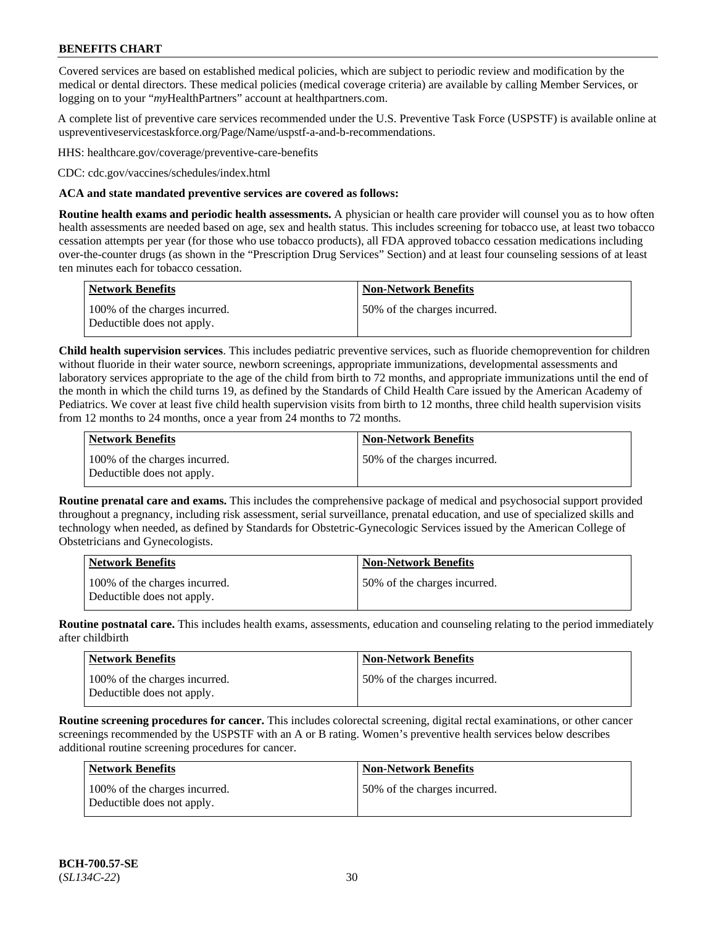Covered services are based on established medical policies, which are subject to periodic review and modification by the medical or dental directors. These medical policies (medical coverage criteria) are available by calling Member Services, or logging on to your "*my*HealthPartners" account at [healthpartners.com.](http://www.healthpartners.com/)

A complete list of preventive care services recommended under the U.S. Preventive Task Force (USPSTF) is available online at [uspreventiveservicestaskforce.org/Page/Name/uspstf-a-and-b-recommendations.](https://www.uspreventiveservicestaskforce.org/Page/Name/uspstf-a-and-b-recommendations-by-date/)

HHS: [healthcare.gov/coverage/preventive-care-benefits](https://www.healthcare.gov/coverage/preventive-care-benefits/)

CDC: [cdc.gov/vaccines/schedules/index.html](https://www.cdc.gov/vaccines/schedules/index.html)

#### **ACA and state mandated preventive services are covered as follows:**

**Routine health exams and periodic health assessments.** A physician or health care provider will counsel you as to how often health assessments are needed based on age, sex and health status. This includes screening for tobacco use, at least two tobacco cessation attempts per year (for those who use tobacco products), all FDA approved tobacco cessation medications including over-the-counter drugs (as shown in the "Prescription Drug Services" Section) and at least four counseling sessions of at least ten minutes each for tobacco cessation.

| Network Benefits                                            | <b>Non-Network Benefits</b>  |
|-------------------------------------------------------------|------------------------------|
| 100% of the charges incurred.<br>Deductible does not apply. | 50% of the charges incurred. |

**Child health supervision services**. This includes pediatric preventive services, such as fluoride chemoprevention for children without fluoride in their water source, newborn screenings, appropriate immunizations, developmental assessments and laboratory services appropriate to the age of the child from birth to 72 months, and appropriate immunizations until the end of the month in which the child turns 19, as defined by the Standards of Child Health Care issued by the American Academy of Pediatrics. We cover at least five child health supervision visits from birth to 12 months, three child health supervision visits from 12 months to 24 months, once a year from 24 months to 72 months.

| Network Benefits                                            | <b>Non-Network Benefits</b>  |
|-------------------------------------------------------------|------------------------------|
| 100% of the charges incurred.<br>Deductible does not apply. | 50% of the charges incurred. |

**Routine prenatal care and exams.** This includes the comprehensive package of medical and psychosocial support provided throughout a pregnancy, including risk assessment, serial surveillance, prenatal education, and use of specialized skills and technology when needed, as defined by Standards for Obstetric-Gynecologic Services issued by the American College of Obstetricians and Gynecologists.

| <b>Network Benefits</b>                                     | Non-Network Benefits         |
|-------------------------------------------------------------|------------------------------|
| 100% of the charges incurred.<br>Deductible does not apply. | 50% of the charges incurred. |

**Routine postnatal care.** This includes health exams, assessments, education and counseling relating to the period immediately after childbirth

| <b>Network Benefits</b>                                     | <b>Non-Network Benefits</b>  |
|-------------------------------------------------------------|------------------------------|
| 100% of the charges incurred.<br>Deductible does not apply. | 50% of the charges incurred. |

**Routine screening procedures for cancer.** This includes colorectal screening, digital rectal examinations, or other cancer screenings recommended by the USPSTF with an A or B rating. Women's preventive health services below describes additional routine screening procedures for cancer.

| <b>Network Benefits</b>                                     | <b>Non-Network Benefits</b>  |
|-------------------------------------------------------------|------------------------------|
| 100% of the charges incurred.<br>Deductible does not apply. | 50% of the charges incurred. |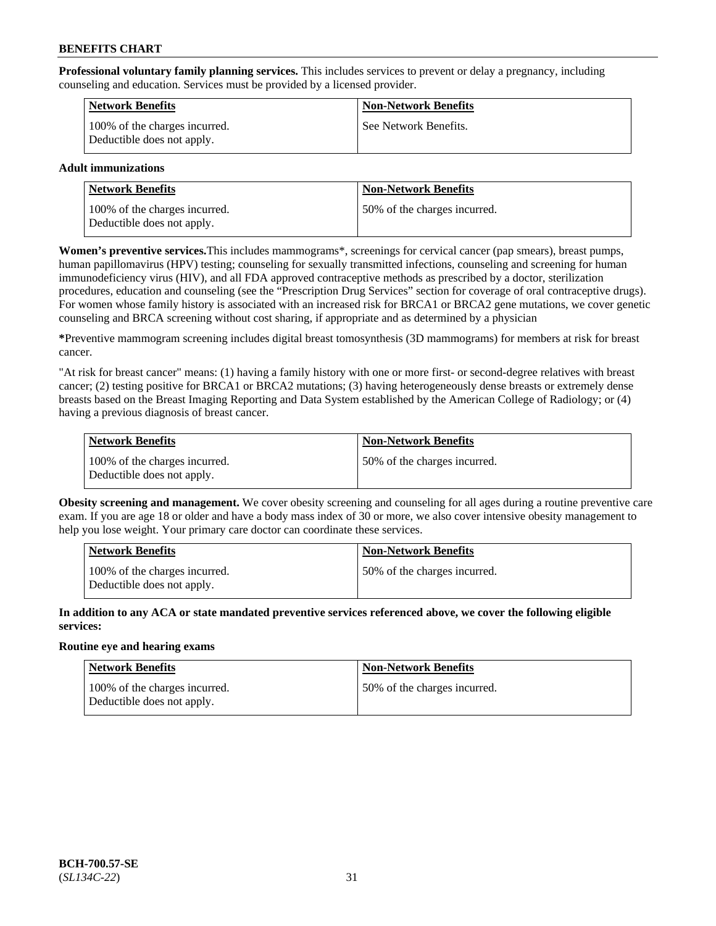**Professional voluntary family planning services.** This includes services to prevent or delay a pregnancy, including counseling and education. Services must be provided by a licensed provider.

| <b>Network Benefits</b>                                     | <b>Non-Network Benefits</b> |
|-------------------------------------------------------------|-----------------------------|
| 100% of the charges incurred.<br>Deductible does not apply. | See Network Benefits.       |

### **Adult immunizations**

| <b>Network Benefits</b>                                     | <b>Non-Network Benefits</b>  |
|-------------------------------------------------------------|------------------------------|
| 100% of the charges incurred.<br>Deductible does not apply. | 50% of the charges incurred. |

**Women's preventive services.**This includes mammograms\*, screenings for cervical cancer (pap smears), breast pumps, human papillomavirus (HPV) testing; counseling for sexually transmitted infections, counseling and screening for human immunodeficiency virus (HIV), and all FDA approved contraceptive methods as prescribed by a doctor, sterilization procedures, education and counseling (see the "Prescription Drug Services" section for coverage of oral contraceptive drugs). For women whose family history is associated with an increased risk for BRCA1 or BRCA2 gene mutations, we cover genetic counseling and BRCA screening without cost sharing, if appropriate and as determined by a physician

**\***Preventive mammogram screening includes digital breast tomosynthesis (3D mammograms) for members at risk for breast cancer.

"At risk for breast cancer" means: (1) having a family history with one or more first- or second-degree relatives with breast cancer; (2) testing positive for BRCA1 or BRCA2 mutations; (3) having heterogeneously dense breasts or extremely dense breasts based on the Breast Imaging Reporting and Data System established by the American College of Radiology; or (4) having a previous diagnosis of breast cancer.

| <b>Network Benefits</b>                                     | <b>Non-Network Benefits</b>  |
|-------------------------------------------------------------|------------------------------|
| 100% of the charges incurred.<br>Deductible does not apply. | 50% of the charges incurred. |

**Obesity screening and management.** We cover obesity screening and counseling for all ages during a routine preventive care exam. If you are age 18 or older and have a body mass index of 30 or more, we also cover intensive obesity management to help you lose weight. Your primary care doctor can coordinate these services.

| <b>Network Benefits</b>                                     | <b>Non-Network Benefits</b>   |
|-------------------------------------------------------------|-------------------------------|
| 100% of the charges incurred.<br>Deductible does not apply. | 150% of the charges incurred. |

**In addition to any ACA or state mandated preventive services referenced above, we cover the following eligible services:**

### **Routine eye and hearing exams**

| Network Benefits                                            | <b>Non-Network Benefits</b>  |
|-------------------------------------------------------------|------------------------------|
| 100% of the charges incurred.<br>Deductible does not apply. | 50% of the charges incurred. |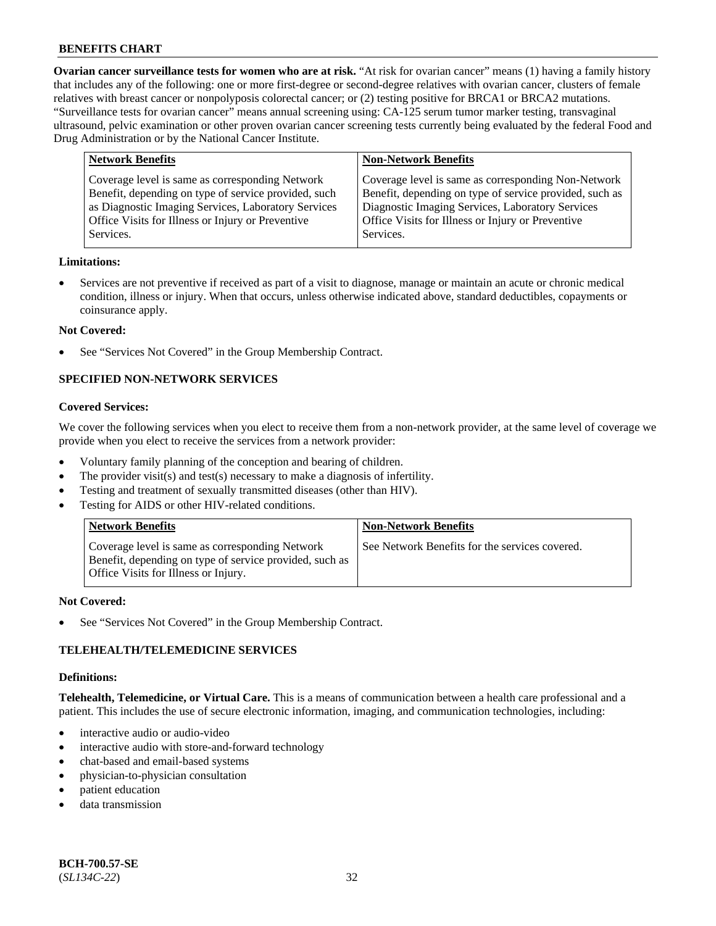**Ovarian cancer surveillance tests for women who are at risk.** "At risk for ovarian cancer" means (1) having a family history that includes any of the following: one or more first-degree or second-degree relatives with ovarian cancer, clusters of female relatives with breast cancer or nonpolyposis colorectal cancer; or (2) testing positive for BRCA1 or BRCA2 mutations. "Surveillance tests for ovarian cancer" means annual screening using: CA-125 serum tumor marker testing, transvaginal ultrasound, pelvic examination or other proven ovarian cancer screening tests currently being evaluated by the federal Food and Drug Administration or by the National Cancer Institute.

| <b>Network Benefits</b>                                                                                                                                                                                                          | <b>Non-Network Benefits</b>                                                                                                                                                                                                          |
|----------------------------------------------------------------------------------------------------------------------------------------------------------------------------------------------------------------------------------|--------------------------------------------------------------------------------------------------------------------------------------------------------------------------------------------------------------------------------------|
| Coverage level is same as corresponding Network<br>Benefit, depending on type of service provided, such<br>as Diagnostic Imaging Services, Laboratory Services<br>Office Visits for Illness or Injury or Preventive<br>Services. | Coverage level is same as corresponding Non-Network<br>Benefit, depending on type of service provided, such as<br>Diagnostic Imaging Services, Laboratory Services<br>Office Visits for Illness or Injury or Preventive<br>Services. |
|                                                                                                                                                                                                                                  |                                                                                                                                                                                                                                      |

#### **Limitations:**

• Services are not preventive if received as part of a visit to diagnose, manage or maintain an acute or chronic medical condition, illness or injury. When that occurs, unless otherwise indicated above, standard deductibles, copayments or coinsurance apply.

#### **Not Covered:**

See "Services Not Covered" in the Group Membership Contract.

## **SPECIFIED NON-NETWORK SERVICES**

### **Covered Services:**

We cover the following services when you elect to receive them from a non-network provider, at the same level of coverage we provide when you elect to receive the services from a network provider:

- Voluntary family planning of the conception and bearing of children.
- The provider visit(s) and test(s) necessary to make a diagnosis of infertility.
- Testing and treatment of sexually transmitted diseases (other than HIV).
- Testing for AIDS or other HIV-related conditions.

| <b>Network Benefits</b>                                                                                                                            | <b>Non-Network Benefits</b>                    |
|----------------------------------------------------------------------------------------------------------------------------------------------------|------------------------------------------------|
| Coverage level is same as corresponding Network<br>Benefit, depending on type of service provided, such as<br>Office Visits for Illness or Injury. | See Network Benefits for the services covered. |

#### **Not Covered:**

See "Services Not Covered" in the Group Membership Contract.

### **TELEHEALTH/TELEMEDICINE SERVICES**

#### **Definitions:**

**Telehealth, Telemedicine, or Virtual Care.** This is a means of communication between a health care professional and a patient. This includes the use of secure electronic information, imaging, and communication technologies, including:

- interactive audio or audio-video
- interactive audio with store-and-forward technology
- chat-based and email-based systems
- physician-to-physician consultation
- patient education
- data transmission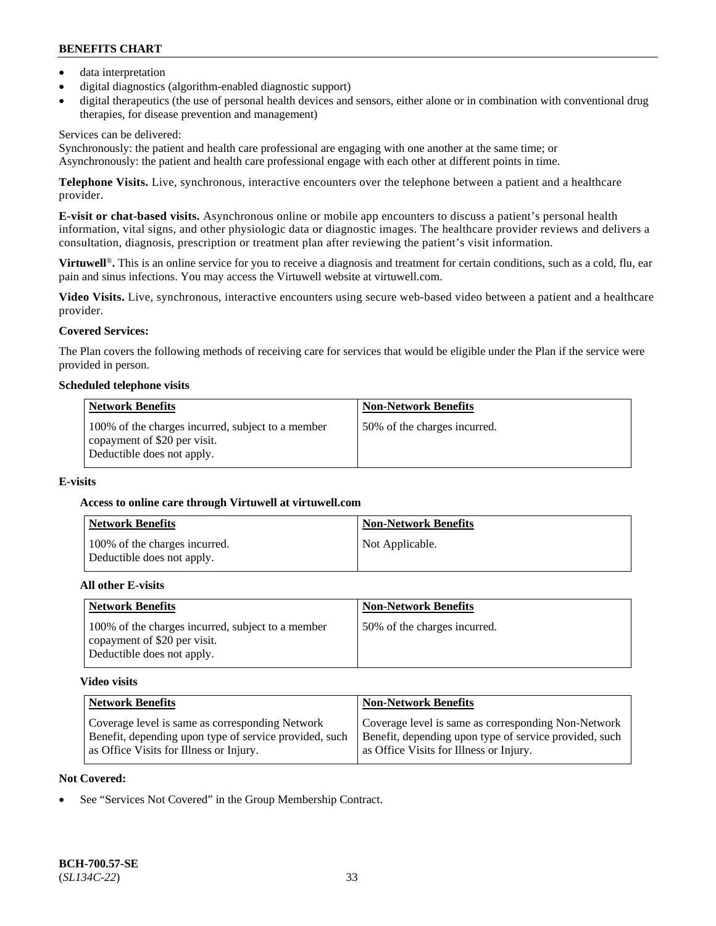- data interpretation
- digital diagnostics (algorithm-enabled diagnostic support)
- digital therapeutics (the use of personal health devices and sensors, either alone or in combination with conventional drug therapies, for disease prevention and management)

### Services can be delivered:

Synchronously: the patient and health care professional are engaging with one another at the same time; or Asynchronously: the patient and health care professional engage with each other at different points in time.

**Telephone Visits.** Live, synchronous, interactive encounters over the telephone between a patient and a healthcare provider.

**E-visit or chat-based visits.** Asynchronous online or mobile app encounters to discuss a patient's personal health information, vital signs, and other physiologic data or diagnostic images. The healthcare provider reviews and delivers a consultation, diagnosis, prescription or treatment plan after reviewing the patient's visit information.

**Virtuwell<sup>®</sup>**. This is an online service for you to receive a diagnosis and treatment for certain conditions, such as a cold, flu, ear pain and sinus infections. You may access the Virtuwell website at [virtuwell.com.](https://www.virtuwell.com/)

**Video Visits.** Live, synchronous, interactive encounters using secure web-based video between a patient and a healthcare provider.

## **Covered Services:**

The Plan covers the following methods of receiving care for services that would be eligible under the Plan if the service were provided in person.

#### **Scheduled telephone visits**

| <b>Network Benefits</b>                                                                                         | <b>Non-Network Benefits</b>  |
|-----------------------------------------------------------------------------------------------------------------|------------------------------|
| 100% of the charges incurred, subject to a member<br>copayment of \$20 per visit.<br>Deductible does not apply. | 50% of the charges incurred. |

### **E-visits**

### **Access to online care through Virtuwell at [virtuwell.com](https://www.virtuwell.com/)**

| Network Benefits                                            | <b>Non-Network Benefits</b> |
|-------------------------------------------------------------|-----------------------------|
| 100% of the charges incurred.<br>Deductible does not apply. | Not Applicable.             |

### **All other E-visits**

| <b>Network Benefits</b>                                                                                         | <b>Non-Network Benefits</b>  |
|-----------------------------------------------------------------------------------------------------------------|------------------------------|
| 100% of the charges incurred, subject to a member<br>copayment of \$20 per visit.<br>Deductible does not apply. | 50% of the charges incurred. |

### **Video visits**

| <b>Network Benefits</b>                                | <b>Non-Network Benefits</b>                            |
|--------------------------------------------------------|--------------------------------------------------------|
| Coverage level is same as corresponding Network        | Coverage level is same as corresponding Non-Network    |
| Benefit, depending upon type of service provided, such | Benefit, depending upon type of service provided, such |
| as Office Visits for Illness or Injury.                | as Office Visits for Illness or Injury.                |

### **Not Covered:**

See "Services Not Covered" in the Group Membership Contract.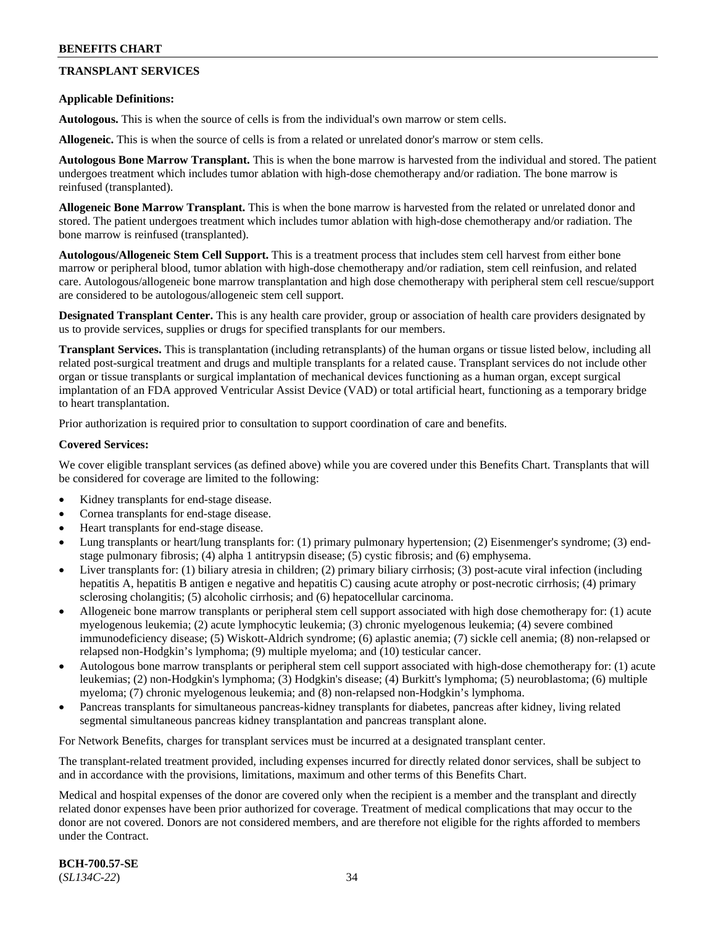## **TRANSPLANT SERVICES**

#### **Applicable Definitions:**

**Autologous.** This is when the source of cells is from the individual's own marrow or stem cells.

**Allogeneic.** This is when the source of cells is from a related or unrelated donor's marrow or stem cells.

**Autologous Bone Marrow Transplant.** This is when the bone marrow is harvested from the individual and stored. The patient undergoes treatment which includes tumor ablation with high-dose chemotherapy and/or radiation. The bone marrow is reinfused (transplanted).

**Allogeneic Bone Marrow Transplant.** This is when the bone marrow is harvested from the related or unrelated donor and stored. The patient undergoes treatment which includes tumor ablation with high-dose chemotherapy and/or radiation. The bone marrow is reinfused (transplanted).

**Autologous/Allogeneic Stem Cell Support.** This is a treatment process that includes stem cell harvest from either bone marrow or peripheral blood, tumor ablation with high-dose chemotherapy and/or radiation, stem cell reinfusion, and related care. Autologous/allogeneic bone marrow transplantation and high dose chemotherapy with peripheral stem cell rescue/support are considered to be autologous/allogeneic stem cell support.

**Designated Transplant Center.** This is any health care provider, group or association of health care providers designated by us to provide services, supplies or drugs for specified transplants for our members.

**Transplant Services.** This is transplantation (including retransplants) of the human organs or tissue listed below, including all related post-surgical treatment and drugs and multiple transplants for a related cause. Transplant services do not include other organ or tissue transplants or surgical implantation of mechanical devices functioning as a human organ, except surgical implantation of an FDA approved Ventricular Assist Device (VAD) or total artificial heart, functioning as a temporary bridge to heart transplantation.

Prior authorization is required prior to consultation to support coordination of care and benefits.

#### **Covered Services:**

We cover eligible transplant services (as defined above) while you are covered under this Benefits Chart. Transplants that will be considered for coverage are limited to the following:

- Kidney transplants for end-stage disease.
- Cornea transplants for end-stage disease.
- Heart transplants for end-stage disease.
- Lung transplants or heart/lung transplants for: (1) primary pulmonary hypertension; (2) Eisenmenger's syndrome; (3) endstage pulmonary fibrosis; (4) alpha 1 antitrypsin disease; (5) cystic fibrosis; and (6) emphysema.
- Liver transplants for: (1) biliary atresia in children; (2) primary biliary cirrhosis; (3) post-acute viral infection (including hepatitis A, hepatitis B antigen e negative and hepatitis C) causing acute atrophy or post-necrotic cirrhosis; (4) primary sclerosing cholangitis; (5) alcoholic cirrhosis; and (6) hepatocellular carcinoma.
- Allogeneic bone marrow transplants or peripheral stem cell support associated with high dose chemotherapy for: (1) acute myelogenous leukemia; (2) acute lymphocytic leukemia; (3) chronic myelogenous leukemia; (4) severe combined immunodeficiency disease; (5) Wiskott-Aldrich syndrome; (6) aplastic anemia; (7) sickle cell anemia; (8) non-relapsed or relapsed non-Hodgkin's lymphoma; (9) multiple myeloma; and (10) testicular cancer.
- Autologous bone marrow transplants or peripheral stem cell support associated with high-dose chemotherapy for: (1) acute leukemias; (2) non-Hodgkin's lymphoma; (3) Hodgkin's disease; (4) Burkitt's lymphoma; (5) neuroblastoma; (6) multiple myeloma; (7) chronic myelogenous leukemia; and (8) non-relapsed non-Hodgkin's lymphoma.
- Pancreas transplants for simultaneous pancreas-kidney transplants for diabetes, pancreas after kidney, living related segmental simultaneous pancreas kidney transplantation and pancreas transplant alone.

For Network Benefits, charges for transplant services must be incurred at a designated transplant center.

The transplant-related treatment provided, including expenses incurred for directly related donor services, shall be subject to and in accordance with the provisions, limitations, maximum and other terms of this Benefits Chart.

Medical and hospital expenses of the donor are covered only when the recipient is a member and the transplant and directly related donor expenses have been prior authorized for coverage. Treatment of medical complications that may occur to the donor are not covered. Donors are not considered members, and are therefore not eligible for the rights afforded to members under the Contract.